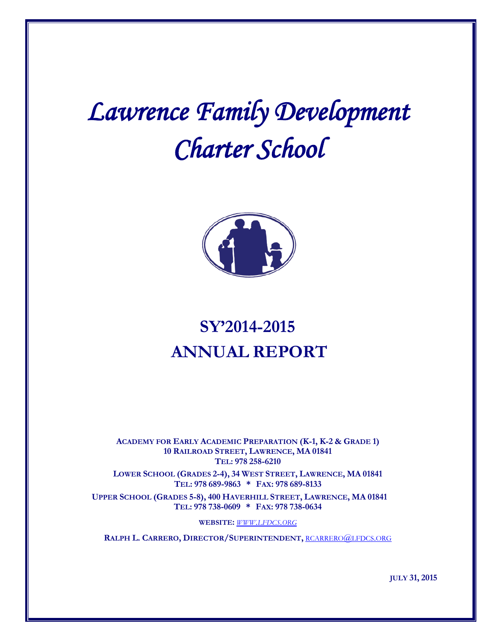# *Lawrence Family Development Charter School*



### **SY'2014-2015 ANNUAL REPORT**

**ACADEMY FOR EARLY ACADEMIC PREPARATION (K-1, K-2 & GRADE 1) 10 RAILROAD STREET, LAWRENCE, MA 01841 TEL: 978 258-6210**

**LOWER SCHOOL (GRADES 2-4), 34 WEST STREET, LAWRENCE, MA 01841 TEL: 978 689-9863 \* FAX: 978 689-8133**

**UPPER SCHOOL (GRADES 5-8), 400 HAVERHILL STREET, LAWRENCE, MA 01841 TEL: 978 738-0609 \* FAX: 978 738-0634**

**WEBSITE:** *[WWW.LFDCS.ORG](http://www.lfdcs.org/)*

**RALPH L. CARRERO, DIRECTOR/SUPERINTENDENT,** [RCARRERO@LFDCS.ORG](mailto:rcarrero@lfdcs.org)

**JULY 31, 2015**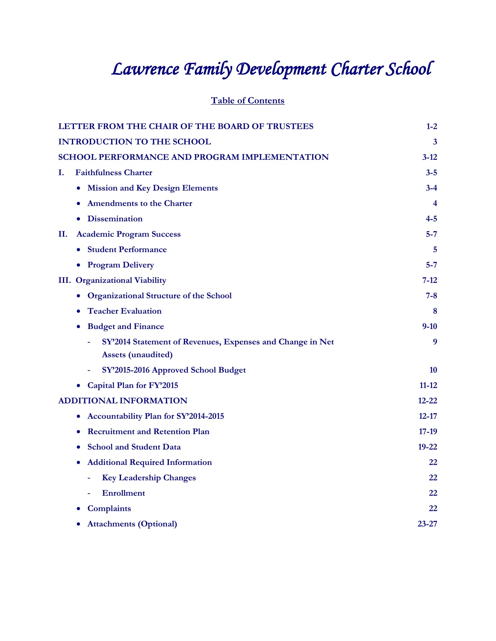## *Lawrence Family Development Charter School*

**Table of Contents**

| LETTER FROM THE CHAIR OF THE BOARD OF TRUSTEES            | $1 - 2$   |
|-----------------------------------------------------------|-----------|
| <b>INTRODUCTION TO THE SCHOOL</b>                         | 3         |
| SCHOOL PERFORMANCE AND PROGRAM IMPLEMENTATION             | $3 - 12$  |
| <b>Faithfulness Charter</b><br>I.                         | $3 - 5$   |
| <b>Mission and Key Design Elements</b><br>$\bullet$       | $3 - 4$   |
| <b>Amendments to the Charter</b>                          | 4         |
| <b>Dissemination</b>                                      | $4 - 5$   |
| <b>Academic Program Success</b><br>П.                     | $5 - 7$   |
| • Student Performance                                     | 5         |
| • Program Delivery                                        | $5 - 7$   |
| <b>III.</b> Organizational Viability                      | 7-12      |
| • Organizational Structure of the School                  | $7 - 8$   |
| <b>Teacher Evaluation</b><br>$\bullet$                    | 8         |
| <b>Budget and Finance</b>                                 | $9-10$    |
| SY'2014 Statement of Revenues, Expenses and Change in Net | 9         |
| <b>Assets (unaudited)</b>                                 |           |
| SY'2015-2016 Approved School Budget                       | 10        |
| Capital Plan for FY'2015                                  | $11 - 12$ |
| <b>ADDITIONAL INFORMATION</b>                             | $12 - 22$ |
| Accountability Plan for SY'2014-2015<br>$\bullet$         | $12 - 17$ |
| <b>Recruitment and Retention Plan</b><br>$\bullet$        | $17-19$   |
| <b>School and Student Data</b>                            | $19 - 22$ |
| <b>Additional Required Information</b><br>$\bullet$       | 22        |
| <b>Key Leadership Changes</b><br>÷,                       | 22        |
| <b>Enrollment</b>                                         | 22        |
| <b>Complaints</b>                                         | 22        |
| <b>Attachments (Optional)</b>                             | 23-27     |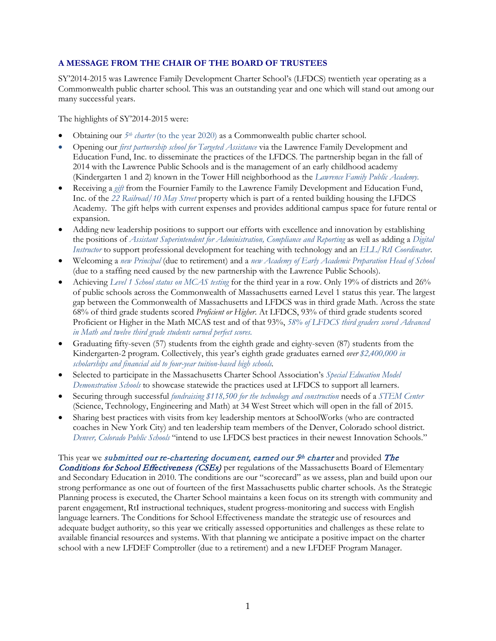#### **A MESSAGE FROM THE CHAIR OF THE BOARD OF TRUSTEES**

SY'2014-2015 was Lawrence Family Development Charter School's (LFDCS) twentieth year operating as a Commonwealth public charter school. This was an outstanding year and one which will stand out among our many successful years.

The highlights of SY'2014-2015 were:

- Obtaining our *5th charter* (to the year 2020) as a Commonwealth public charter school.
- Opening our *first partnership school for Targeted Assistance* via the Lawrence Family Development and Education Fund, Inc. to disseminate the practices of the LFDCS. The partnership began in the fall of 2014 with the Lawrence Public Schools and is the management of an early childhood academy (Kindergarten 1 and 2) known in the Tower Hill neighborhood as the *Lawrence Family Public Academy.*
- Receiving a *gift* from the Fournier Family to the Lawrence Family Development and Education Fund, Inc. of the *22 Railroad/10 May Street* property which is part of a rented building housing the LFDCS Academy. The gift helps with current expenses and provides additional campus space for future rental or expansion.
- Adding new leadership positions to support our efforts with excellence and innovation by establishing the positions of *Assistant Superintendent for Administration, Compliance and Reporting* as well as adding a *Digital Instructor* to support professional development for teaching with technology and an *ELL/RtI Coordinator*.
- Welcoming a *new Principal* (due to retirement) and a *new Academy of Early Academic Preparation Head of School* (due to a staffing need caused by the new partnership with the Lawrence Public Schools).
- Achieving *Level 1 School status on MCAS testing* for the third year in a row. Only 19% of districts and 26% of public schools across the Commonwealth of Massachusetts earned Level 1 status this year. The largest gap between the Commonwealth of Massachusetts and LFDCS was in third grade Math. Across the state 68% of third grade students scored *Proficient or Higher*. At LFDCS, 93% of third grade students scored Proficient or Higher in the Math MCAS test and of that 93%, *58% of LFDCS third graders scored Advanced in Math and twelve third grade students earned perfect scores.*
- Graduating fifty-seven (57) students from the eighth grade and eighty-seven (87) students from the Kindergarten-2 program. Collectively, this year's eighth grade graduates earned *over \$2,400,000 in scholarships and financial aid to four-year tuition-based high schools.*
- Selected to participate in the Massachusetts Charter School Association's *Special Education Model Demonstration Schools* to showcase statewide the practices used at LFDCS to support all learners.
- Securing through successful *fundraising \$118,500 for the technology and construction* needs of a *STEM Center* (Science, Technology, Engineering and Math) at 34 West Street which will open in the fall of 2015.
- Sharing best practices with visits from key leadership mentors at SchoolWorks (who are contracted coaches in New York City) and ten leadership team members of the Denver, Colorado school district. *Denver, Colorado Public Schools* "intend to use LFDCS best practices in their newest Innovation Schools."

This year we *submitted our re-chartering document, earned our 5<sup>th</sup> charter and provided The* Conditions for School Effectiveness (CSEs) per regulations of the Massachusetts Board of Elementary and Secondary Education in 2010. The conditions are our "scorecard" as we assess, plan and build upon our strong performance as one out of fourteen of the first Massachusetts public charter schools. As the Strategic Planning process is executed, the Charter School maintains a keen focus on its strength with community and parent engagement, RtI instructional techniques, student progress-monitoring and success with English language learners. The Conditions for School Effectiveness mandate the strategic use of resources and adequate budget authority, so this year we critically assessed opportunities and challenges as these relate to available financial resources and systems. With that planning we anticipate a positive impact on the charter school with a new LFDEF Comptroller (due to a retirement) and a new LFDEF Program Manager.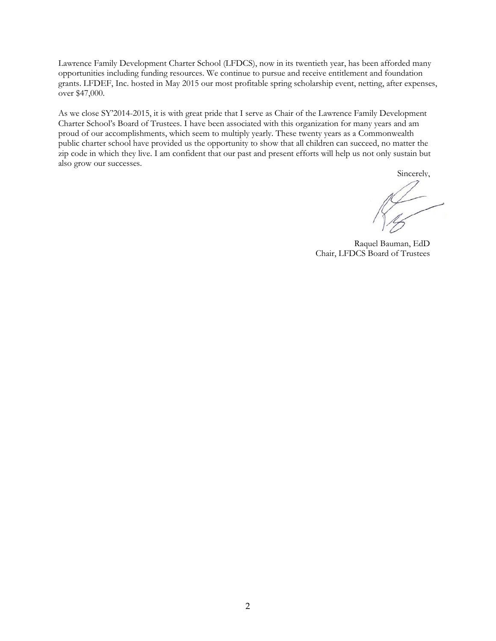Lawrence Family Development Charter School (LFDCS), now in its twentieth year, has been afforded many opportunities including funding resources. We continue to pursue and receive entitlement and foundation grants. LFDEF, Inc. hosted in May 2015 our most profitable spring scholarship event, netting, after expenses, over \$47,000.

As we close SY'2014-2015, it is with great pride that I serve as Chair of the Lawrence Family Development Charter School's Board of Trustees. I have been associated with this organization for many years and am proud of our accomplishments, which seem to multiply yearly. These twenty years as a Commonwealth public charter school have provided us the opportunity to show that all children can succeed, no matter the zip code in which they live. I am confident that our past and present efforts will help us not only sustain but also grow our successes.

Sincerely,

Raquel Bauman, EdD Chair, LFDCS Board of Trustees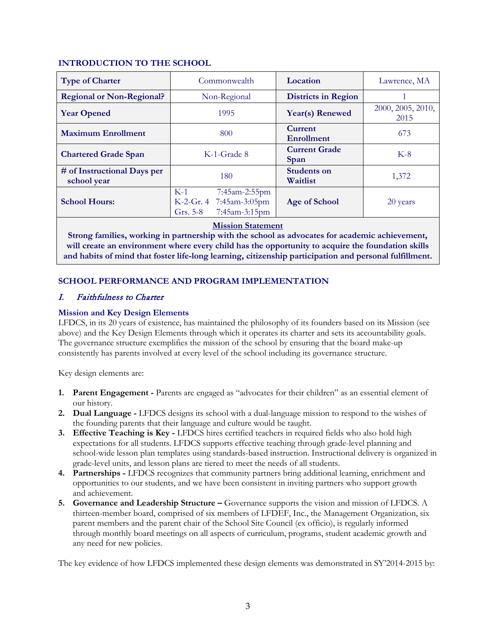#### **INTRODUCTION TO THE SCHOOL**

| <b>Type of Charter</b>                     | Commonwealth                                                                     | Location                            | Lawrence, MA              |
|--------------------------------------------|----------------------------------------------------------------------------------|-------------------------------------|---------------------------|
| <b>Regional or Non-Regional?</b>           | Non-Regional                                                                     | <b>Districts in Region</b>          |                           |
| <b>Year Opened</b>                         | 1995                                                                             | Year(s) Renewed                     | 2000, 2005, 2010,<br>2015 |
| <b>Maximum Enrollment</b>                  | 800                                                                              | <b>Current</b><br><b>Enrollment</b> | 673                       |
| <b>Chartered Grade Span</b>                | K-1-Grade 8                                                                      | <b>Current Grade</b><br>Span        | $K-8$                     |
| # of Instructional Days per<br>school year | 180                                                                              | <b>Students on</b><br>Waitlist      | 1,372                     |
| <b>School Hours:</b>                       | $K-1$<br>7:45am-2:55pm<br>K-2-Gr. 4 7:45am-3:05pm<br>7:45am-3:15pm<br>Grs. $5-8$ | Age of School                       | 20 years                  |

#### **Mission Statement**

**Strong families, working in partnership with the school as advocates for academic achievement, will create an environment where every child has the opportunity to acquire the foundation skills and habits of mind that foster life-long learning, citizenship participation and personal fulfillment.**

#### **SCHOOL PERFORMANCE AND PROGRAM IMPLEMENTATION**

#### I. Faithfulness to Charter

#### **Mission and Key Design Elements**

LFDCS, in its 20 years of existence, has maintained the philosophy of its founders based on its Mission (see above) and the Key Design Elements through which it operates its charter and sets its accountability goals. The governance structure exemplifies the mission of the school by ensuring that the board make-up consistently has parents involved at every level of the school including its governance structure.

Key design elements are:

- **1. Parent Engagement -** Parents are engaged as "advocates for their children" as an essential element of our history.
- **2. Dual Language -** LFDCS designs its school with a dual-language mission to respond to the wishes of the founding parents that their language and culture would be taught.
- **3. Effective Teaching is Key -** LFDCS hires certified teachers in required fields who also hold high expectations for all students. LFDCS supports effective teaching through grade-level planning and school-wide lesson plan templates using standards-based instruction. Instructional delivery is organized in grade-level units, and lesson plans are tiered to meet the needs of all students.
- **4. Partnerships -** LFDCS recognizes that community partners bring additional learning, enrichment and opportunities to our students, and we have been consistent in inviting partners who support growth and achievement.
- **5. Governance and Leadership Structure –** Governance supports the vision and mission of LFDCS. A thirteen-member board, comprised of six members of LFDEF, Inc., the Management Organization, six parent members and the parent chair of the School Site Council (ex officio), is regularly informed through monthly board meetings on all aspects of curriculum, programs, student academic growth and any need for new policies.

The key evidence of how LFDCS implemented these design elements was demonstrated in SY'2014-2015 by: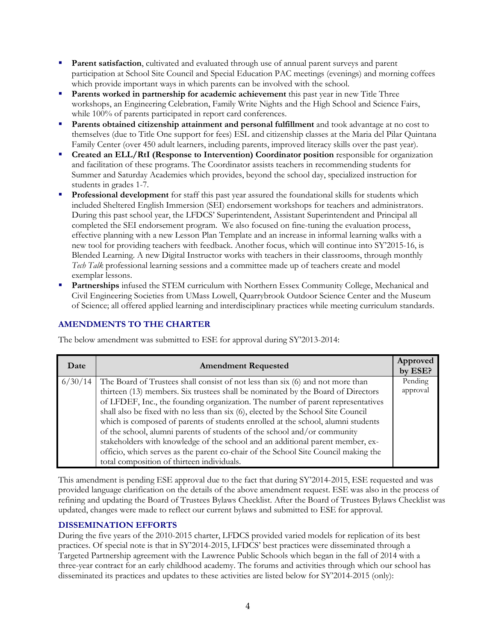- **Parent satisfaction**, cultivated and evaluated through use of annual parent surveys and parent participation at School Site Council and Special Education PAC meetings (evenings) and morning coffees which provide important ways in which parents can be involved with the school.
- **Parents worked in partnership for academic achievement** this past year in new Title Three workshops, an Engineering Celebration, Family Write Nights and the High School and Science Fairs, while 100% of parents participated in report card conferences.
- **Parents obtained citizenship attainment and personal fulfillment** and took advantage at no cost to themselves (due to Title One support for fees) ESL and citizenship classes at the Maria del Pilar Quintana Family Center (over 450 adult learners, including parents, improved literacy skills over the past year).
- **Created an ELL/RtI (Response to Intervention) Coordinator position** responsible for organization and facilitation of these programs. The Coordinator assists teachers in recommending students for Summer and Saturday Academies which provides, beyond the school day, specialized instruction for students in grades 1-7.
- **Professional development** for staff this past year assured the foundational skills for students which included Sheltered English Immersion (SEI) endorsement workshops for teachers and administrators. During this past school year, the LFDCS' Superintendent, Assistant Superintendent and Principal all completed the SEI endorsement program. We also focused on fine-tuning the evaluation process, effective planning with a new Lesson Plan Template and an increase in informal learning walks with a new tool for providing teachers with feedback. Another focus, which will continue into SY'2015-16, is Blended Learning. A new Digital Instructor works with teachers in their classrooms, through monthly *Tech Talk* professional learning sessions and a committee made up of teachers create and model exemplar lessons.
- **Partnerships** infused the STEM curriculum with Northern Essex Community College, Mechanical and Civil Engineering Societies from UMass Lowell, Quarrybrook Outdoor Science Center and the Museum of Science; all offered applied learning and interdisciplinary practices while meeting curriculum standards.

#### **AMENDMENTS TO THE CHARTER**

The below amendment was submitted to ESE for approval during SY'2013-2014:

| Date    | <b>Amendment Requested</b>                                                         | Approved<br>by ESE? |
|---------|------------------------------------------------------------------------------------|---------------------|
| 6/30/14 | The Board of Trustees shall consist of not less than six (6) and not more than     | Pending             |
|         | thirteen (13) members. Six trustees shall be nominated by the Board of Directors   | approval            |
|         | of LFDEF, Inc., the founding organization. The number of parent representatives    |                     |
|         | shall also be fixed with no less than six (6), elected by the School Site Council  |                     |
|         | which is composed of parents of students enrolled at the school, alumni students   |                     |
|         | of the school, alumni parents of students of the school and/or community           |                     |
|         | stakeholders with knowledge of the school and an additional parent member, ex-     |                     |
|         | officio, which serves as the parent co-chair of the School Site Council making the |                     |
|         | total composition of thirteen individuals.                                         |                     |

This amendment is pending ESE approval due to the fact that during SY'2014-2015, ESE requested and was provided language clarification on the details of the above amendment request. ESE was also in the process of refining and updating the Board of Trustees Bylaws Checklist. After the Board of Trustees Bylaws Checklist was updated, changes were made to reflect our current bylaws and submitted to ESE for approval.

#### **DISSEMINATION EFFORTS**

During the five years of the 2010-2015 charter, LFDCS provided varied models for replication of its best practices. Of special note is that in SY'2014-2015, LFDCS' best practices were disseminated through a Targeted Partnership agreement with the Lawrence Public Schools which began in the fall of 2014 with a three-year contract for an early childhood academy. The forums and activities through which our school has disseminated its practices and updates to these activities are listed below for SY'2014-2015 (only):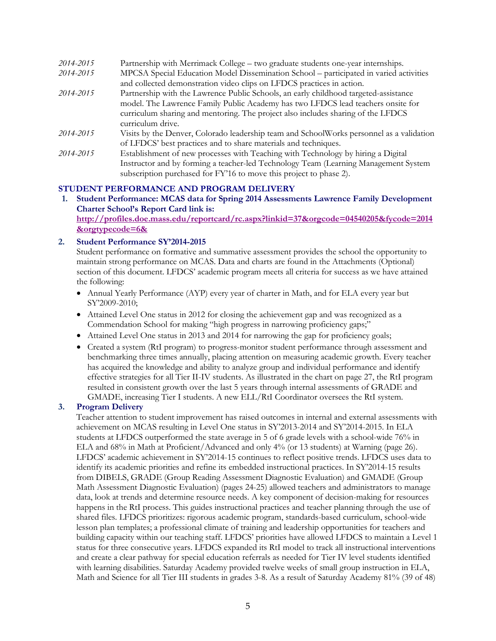| 2014-2015 | Partnership with Merrimack College – two graduate students one-year internships.         |
|-----------|------------------------------------------------------------------------------------------|
| 2014-2015 | MPCSA Special Education Model Dissemination School – participated in varied activities   |
|           | and collected demonstration video clips on LFDCS practices in action.                    |
| 2014-2015 | Partnership with the Lawrence Public Schools, an early childhood targeted-assistance     |
|           | model. The Lawrence Family Public Academy has two LFDCS lead teachers onsite for         |
|           | curriculum sharing and mentoring. The project also includes sharing of the LFDCS         |
|           | curriculum drive.                                                                        |
| 2014-2015 | Visits by the Denver, Colorado leadership team and SchoolWorks personnel as a validation |
|           | of LFDCS' best practices and to share materials and techniques.                          |
| 2014-2015 | Establishment of new processes with Teaching with Technology by hiring a Digital         |
|           | Instructor and by forming a teacher-led Technology Team (Learning Management System)     |
|           | subscription purchased for FY'16 to move this project to phase 2).                       |
|           |                                                                                          |

#### **STUDENT PERFORMANCE AND PROGRAM DELIVERY**

**1. Student Performance: MCAS data for Spring 2014 Assessments Lawrence Family Development Charter School's Report Card link is: [http://profiles.doe.mass.edu/reportcard/rc.aspx?linkid=37&orgcode=04540205&fycode=2014](http://profiles.doe.mass.edu/reportcard/rc.aspx?linkid=37&orgcode=04540205&fycode=2014&orgtypecode=6&) [&orgtypecode=6&](http://profiles.doe.mass.edu/reportcard/rc.aspx?linkid=37&orgcode=04540205&fycode=2014&orgtypecode=6&)**

#### **2. Student Performance SY'2014-2015**

Student performance on formative and summative assessment provides the school the opportunity to maintain strong performance on MCAS. Data and charts are found in the Attachments (Optional) section of this document. LFDCS' academic program meets all criteria for success as we have attained the following:

- Annual Yearly Performance (AYP) every year of charter in Math, and for ELA every year but SY'2009-2010;
- Attained Level One status in 2012 for closing the achievement gap and was recognized as a Commendation School for making "high progress in narrowing proficiency gaps;"
- Attained Level One status in 2013 and 2014 for narrowing the gap for proficiency goals;
- Created a system (RtI program) to progress-monitor student performance through assessment and benchmarking three times annually, placing attention on measuring academic growth. Every teacher has acquired the knowledge and ability to analyze group and individual performance and identify effective strategies for all Tier II-IV students. As illustrated in the chart on page 27, the RtI program resulted in consistent growth over the last 5 years through internal assessments of GRADE and GMADE, increasing Tier I students. A new ELL/RtI Coordinator oversees the RtI system.

#### **3. Program Delivery**

Teacher attention to student improvement has raised outcomes in internal and external assessments with achievement on MCAS resulting in Level One status in SY'2013-2014 and SY'2014-2015. In ELA students at LFDCS outperformed the state average in 5 of 6 grade levels with a school-wide 76% in ELA and 68% in Math at Proficient/Advanced and only 4% (or 13 students) at Warning (page 26). LFDCS' academic achievement in SY'2014-15 continues to reflect positive trends. LFDCS uses data to identify its academic priorities and refine its embedded instructional practices. In SY'2014-15 results from DIBELS, GRADE (Group Reading Assessment Diagnostic Evaluation) and GMADE (Group Math Assessment Diagnostic Evaluation) (pages 24-25) allowed teachers and administrators to manage data, look at trends and determine resource needs. A key component of decision-making for resources happens in the RtI process. This guides instructional practices and teacher planning through the use of shared files. LFDCS prioritizes: rigorous academic program, standards-based curriculum, school-wide lesson plan templates; a professional climate of training and leadership opportunities for teachers and building capacity within our teaching staff. LFDCS' priorities have allowed LFDCS to maintain a Level 1 status for three consecutive years. LFDCS expanded its RtI model to track all instructional interventions and create a clear pathway for special education referrals as needed for Tier IV level students identified with learning disabilities. Saturday Academy provided twelve weeks of small group instruction in ELA, Math and Science for all Tier III students in grades 3-8. As a result of Saturday Academy 81% (39 of 48)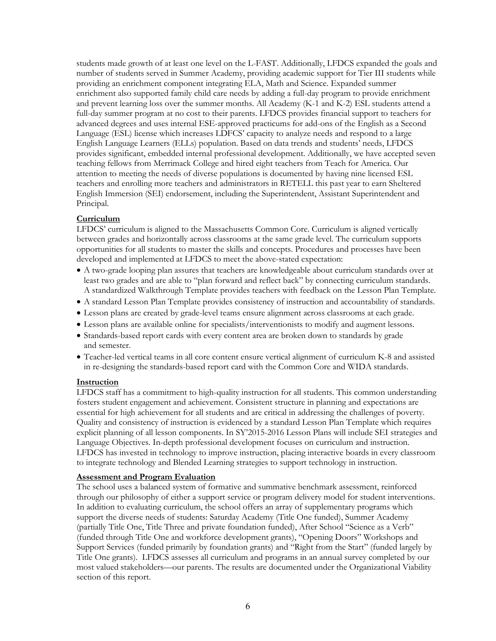students made growth of at least one level on the L-FAST. Additionally, LFDCS expanded the goals and number of students served in Summer Academy, providing academic support for Tier III students while providing an enrichment component integrating ELA, Math and Science. Expanded summer enrichment also supported family child care needs by adding a full-day program to provide enrichment and prevent learning loss over the summer months. All Academy (K-1 and K-2) ESL students attend a full-day summer program at no cost to their parents. LFDCS provides financial support to teachers for advanced degrees and uses internal ESE-approved practicums for add-ons of the English as a Second Language (ESL) license which increases LDFCS' capacity to analyze needs and respond to a large English Language Learners (ELLs) population. Based on data trends and students' needs, LFDCS provides significant, embedded internal professional development. Additionally, we have accepted seven teaching fellows from Merrimack College and hired eight teachers from Teach for America. Our attention to meeting the needs of diverse populations is documented by having nine licensed ESL teachers and enrolling more teachers and administrators in RETELL this past year to earn Sheltered English Immersion (SEI) endorsement, including the Superintendent, Assistant Superintendent and Principal.

#### **Curriculum**

LFDCS' curriculum is aligned to the Massachusetts Common Core. Curriculum is aligned vertically between grades and horizontally across classrooms at the same grade level. The curriculum supports opportunities for all students to master the skills and concepts. Procedures and processes have been developed and implemented at LFDCS to meet the above-stated expectation:

- A two-grade looping plan assures that teachers are knowledgeable about curriculum standards over at least two grades and are able to "plan forward and reflect back" by connecting curriculum standards. A standardized Walkthrough Template provides teachers with feedback on the Lesson Plan Template.
- A standard Lesson Plan Template provides consistency of instruction and accountability of standards.
- Lesson plans are created by grade-level teams ensure alignment across classrooms at each grade.
- Lesson plans are available online for specialists/interventionists to modify and augment lessons.
- Standards-based report cards with every content area are broken down to standards by grade and semester.
- Teacher-led vertical teams in all core content ensure vertical alignment of curriculum K-8 and assisted in re-designing the standards-based report card with the Common Core and WIDA standards.

#### **Instruction**

LFDCS staff has a commitment to high-quality instruction for all students. This common understanding fosters student engagement and achievement. Consistent structure in planning and expectations are essential for high achievement for all students and are critical in addressing the challenges of poverty. Quality and consistency of instruction is evidenced by a standard Lesson Plan Template which requires explicit planning of all lesson components. In SY'2015-2016 Lesson Plans will include SEI strategies and Language Objectives. In-depth professional development focuses on curriculum and instruction. LFDCS has invested in technology to improve instruction, placing interactive boards in every classroom to integrate technology and Blended Learning strategies to support technology in instruction.

#### **Assessment and Program Evaluation**

The school uses a balanced system of formative and summative benchmark assessment, reinforced through our philosophy of either a support service or program delivery model for student interventions. In addition to evaluating curriculum, the school offers an array of supplementary programs which support the diverse needs of students: Saturday Academy (Title One funded), Summer Academy (partially Title One, Title Three and private foundation funded), After School "Science as a Verb" (funded through Title One and workforce development grants), "Opening Doors" Workshops and Support Services (funded primarily by foundation grants) and "Right from the Start" (funded largely by Title One grants). LFDCS assesses all curriculum and programs in an annual survey completed by our most valued stakeholders—our parents. The results are documented under the Organizational Viability section of this report.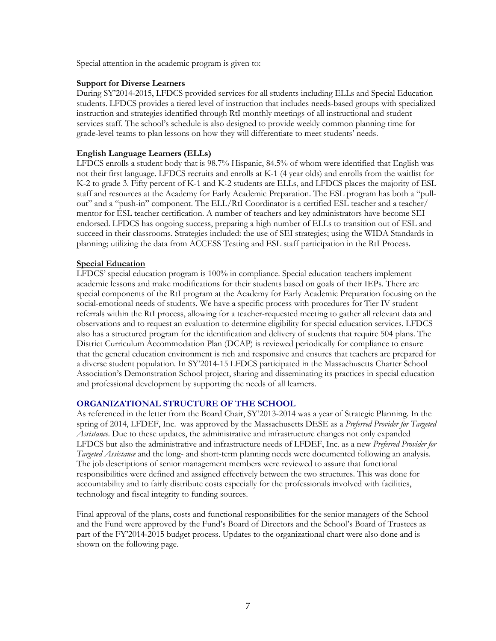Special attention in the academic program is given to:

#### **Support for Diverse Learners**

During SY'2014-2015, LFDCS provided services for all students including ELLs and Special Education students. LFDCS provides a tiered level of instruction that includes needs-based groups with specialized instruction and strategies identified through RtI monthly meetings of all instructional and student services staff. The school's schedule is also designed to provide weekly common planning time for grade-level teams to plan lessons on how they will differentiate to meet students' needs.

#### **English Language Learners (ELLs)**

LFDCS enrolls a student body that is 98.7% Hispanic, 84.5% of whom were identified that English was not their first language. LFDCS recruits and enrolls at K-1 (4 year olds) and enrolls from the waitlist for K-2 to grade 3. Fifty percent of K-1 and K-2 students are ELLs, and LFDCS places the majority of ESL staff and resources at the Academy for Early Academic Preparation. The ESL program has both a "pullout" and a "push-in" component. The ELL/RtI Coordinator is a certified ESL teacher and a teacher/ mentor for ESL teacher certification. A number of teachers and key administrators have become SEI endorsed. LFDCS has ongoing success, preparing a high number of ELLs to transition out of ESL and succeed in their classrooms. Strategies included: the use of SEI strategies; using the WIDA Standards in planning; utilizing the data from ACCESS Testing and ESL staff participation in the RtI Process.

#### **Special Education**

LFDCS' special education program is 100% in compliance. Special education teachers implement academic lessons and make modifications for their students based on goals of their IEPs. There are special components of the RtI program at the Academy for Early Academic Preparation focusing on the social-emotional needs of students. We have a specific process with procedures for Tier IV student referrals within the RtI process, allowing for a teacher-requested meeting to gather all relevant data and observations and to request an evaluation to determine eligibility for special education services. LFDCS also has a structured program for the identification and delivery of students that require 504 plans. The District Curriculum Accommodation Plan (DCAP) is reviewed periodically for compliance to ensure that the general education environment is rich and responsive and ensures that teachers are prepared for a diverse student population. In SY'2014-15 LFDCS participated in the Massachusetts Charter School Association's Demonstration School project, sharing and disseminating its practices in special education and professional development by supporting the needs of all learners.

#### **ORGANIZATIONAL STRUCTURE OF THE SCHOOL**

As referenced in the letter from the Board Chair, SY'2013-2014 was a year of Strategic Planning. In the spring of 2014, LFDEF, Inc. was approved by the Massachusetts DESE as a *Preferred Provider for Targeted Assistance*. Due to these updates, the administrative and infrastructure changes not only expanded LFDCS but also the administrative and infrastructure needs of LFDEF, Inc. as a new *Preferred Provider for Targeted Assistance* and the long- and short-term planning needs were documented following an analysis. The job descriptions of senior management members were reviewed to assure that functional responsibilities were defined and assigned effectively between the two structures. This was done for accountability and to fairly distribute costs especially for the professionals involved with facilities, technology and fiscal integrity to funding sources.

Final approval of the plans, costs and functional responsibilities for the senior managers of the School and the Fund were approved by the Fund's Board of Directors and the School's Board of Trustees as part of the FY'2014-2015 budget process. Updates to the organizational chart were also done and is shown on the following page.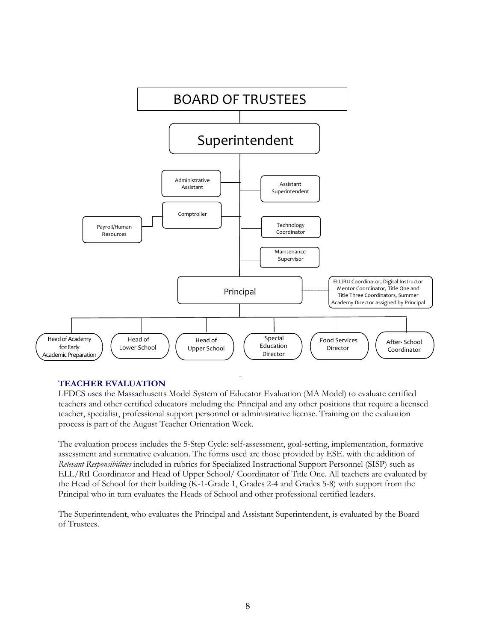

#### **TEACHER EVALUATION**

LFDCS uses the Massachusetts Model System of Educator Evaluation (MA Model) to evaluate certified teachers and other certified educators including the Principal and any other positions that require a licensed teacher, specialist, professional support personnel or administrative license. Training on the evaluation process is part of the August Teacher Orientation Week.

The evaluation process includes the 5-Step Cycle: self-assessment, goal-setting, implementation, formative assessment and summative evaluation. The forms used are those provided by ESE. with the addition of *Relevant Responsibilities* included in rubrics for Specialized Instructional Support Personnel (SISP) such as ELL/RtI Coordinator and Head of Upper School/ Coordinator of Title One. All teachers are evaluated by the Head of School for their building (K-1-Grade 1, Grades 2-4 and Grades 5-8) with support from the Principal who in turn evaluates the Heads of School and other professional certified leaders.

The Superintendent, who evaluates the Principal and Assistant Superintendent, is evaluated by the Board of Trustees.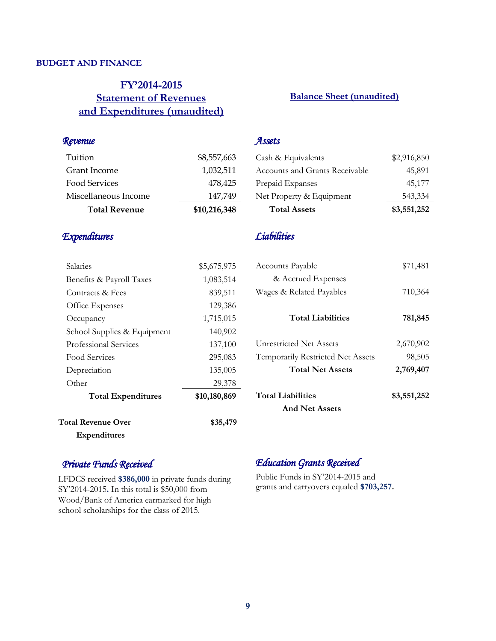#### **BUDGET AND FINANCE**

#### **FY'2014-2015 Statement of Revenues and Expenditures (unaudited)**

#### **Balance Sheet (unaudited)**

| Revenue       |  |
|---------------|--|
| Tuition       |  |
| Grant Income  |  |
| Food Services |  |

| <b>Total Revenue</b> | \$10,216,348 |
|----------------------|--------------|
| Miscellaneous Income | 147,749      |
| Food Services        | 478,425      |

#### *Expenditures*

| <b>Expenditures</b>         |              |
|-----------------------------|--------------|
| <b>Total Revenue Over</b>   | \$35,479     |
| <b>Total Expenditures</b>   | \$10,180,869 |
| Other                       | 29,378       |
| Depreciation                | 135,005      |
| Food Services               | 295,083      |
| Professional Services       | 137,100      |
| School Supplies & Equipment | 140,902      |
| Occupancy                   | 1,715,015    |
| Office Expenses             | 129,386      |
| Contracts & Fees            | 839,511      |
| Benefits & Payroll Taxes    | 1,083,514    |
| Salaries                    | \$5,675,975  |

#### *Assets*

\$8,557,663 Grant Income 1,032,511

| <b>Total Assets</b>                   | \$3,551,252 |
|---------------------------------------|-------------|
| Net Property & Equipment              | 543,334     |
| Prepaid Expanses                      | 45,177      |
| <b>Accounts and Grants Receivable</b> | 45,891      |
| Cash & Equivalents                    | \$2,916,850 |

#### *Liabilities*

| Accounts Payable                  | \$71,481    |
|-----------------------------------|-------------|
| & Accrued Expenses                |             |
| Wages & Related Payables          | 710,364     |
|                                   |             |
| <b>Total Liabilities</b>          | 781,845     |
|                                   |             |
| <b>Unrestricted Net Assets</b>    | 2,670,902   |
| Temporarily Restricted Net Assets | 98,505      |
| <b>Total Net Assets</b>           | 2,769,407   |
| <b>Total Liabilities</b>          | \$3,551,252 |
| $A = 1 N1 - 1 N - 1$              |             |

**And Net Assets** 

#### *Private Funds Received*

LFDCS received **\$386,000** in private funds during SY'2014-2015**.** In this total is \$50,000 from Wood/Bank of America earmarked for high school scholarships for the class of 2015.

#### *Education Grants Received*

Public Funds in SY'2014-2015 and grants and carryovers equaled **\$703,257.**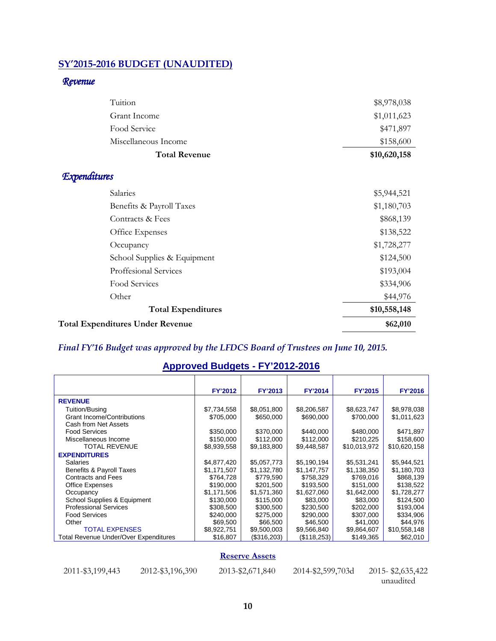#### **SY'2015-2016 BUDGET (UNAUDITED)**

#### *Revenue*

| Tuition                                 | \$8,978,038  |
|-----------------------------------------|--------------|
| Grant Income                            | \$1,011,623  |
| Food Service                            | \$471,897    |
| Miscellaneous Income                    | \$158,600    |
| <b>Total Revenue</b>                    | \$10,620,158 |
| <b>Expenditures</b>                     |              |
| Salaries                                | \$5,944,521  |
| Benefits & Payroll Taxes                | \$1,180,703  |
| Contracts & Fees                        | \$868,139    |
| Office Expenses                         | \$138,522    |
| Occupancy                               | \$1,728,277  |
| School Supplies & Equipment             | \$124,500    |
| Proffesional Services                   | \$193,004    |
| Food Services                           | \$334,906    |
| Other                                   | \$44,976     |
| <b>Total Expenditures</b>               | \$10,558,148 |
| <b>Total Expenditures Under Revenue</b> | \$62,010     |

#### *Final FY'16 Budget was approved by the LFDCS Board of Trustees on June 10, 2015.*

#### **Approved Budgets - FY'2012-2016**

|                                              | <b>FY'2012</b> | <b>FY'2013</b> | FY'2014     | FY'2015      | <b>FY'2016</b> |
|----------------------------------------------|----------------|----------------|-------------|--------------|----------------|
| <b>REVENUE</b>                               |                |                |             |              |                |
| Tuition/Busing                               | \$7,734,558    | \$8,051,800    | \$8,206,587 | \$8,623,747  | \$8,978,038    |
| <b>Grant Income/Contributions</b>            | \$705,000      | \$650,000      | \$690,000   | \$700,000    | \$1,011,623    |
| Cash from Net Assets                         |                |                |             |              |                |
| <b>Food Services</b>                         | \$350,000      | \$370,000      | \$440,000   | \$480,000    | \$471,897      |
| Miscellaneous Income                         | \$150,000      | \$112,000      | \$112,000   | \$210,225    | \$158,600      |
| <b>TOTAL REVENUE</b>                         | \$8,939,558    | \$9,183,800    | \$9,448,587 | \$10,013,972 | \$10,620,158   |
| <b>EXPENDITURES</b>                          |                |                |             |              |                |
| Salaries                                     | \$4,877,420    | \$5,057,773    | \$5,190,194 | \$5,531,241  | \$5,944,521    |
| Benefits & Payroll Taxes                     | \$1,171,507    | \$1,132,780    | \$1,147,757 | \$1,138,350  | \$1,180,703    |
| Contracts and Fees                           | \$764,728      | \$779,590      | \$758,329   | \$769,016    | \$868,139      |
| <b>Office Expenses</b>                       | \$190,000      | \$201,500      | \$193,500   | \$151,000    | \$138,522      |
| Occupancy                                    | \$1,171,506    | \$1,571,360    | \$1,627,060 | \$1,642,000  | \$1,728,277    |
| School Supplies & Equipment                  | \$130,000      | \$115,000      | \$83,000    | \$83,000     | \$124,500      |
| <b>Professional Services</b>                 | \$308,500      | \$300,500      | \$230,500   | \$202,000    | \$193,004      |
| <b>Food Services</b>                         | \$240,000      | \$275,000      | \$290,000   | \$307,000    | \$334,906      |
| Other                                        | \$69,500       | \$66,500       | \$46,500    | \$41,000     | \$44,976       |
| <b>TOTAL EXPENSES</b>                        | \$8,922,751    | \$9,500,003    | \$9,566,840 | \$9,864,607  | \$10,558,148   |
| <b>Total Revenue Under/Over Expenditures</b> | \$16,807       | (\$316,203)    | (\$118,253) | \$149,365    | \$62,010       |

#### **Reserve Assets**

| 2011-\$3,199,443 | $20^{\circ}$ |
|------------------|--------------|
|------------------|--------------|

22-\$3,196,390 2013-\$2,671,840 2014-\$2,599,703d 2015- \$2,635,422

unaudited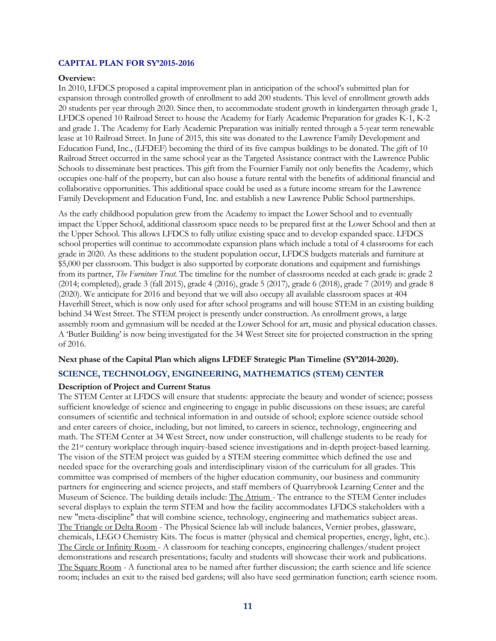#### **CAPITAL PLAN FOR SY'2015-2016**

#### **Overview:**

In 2010, LFDCS proposed a capital improvement plan in anticipation of the school's submitted plan for expansion through controlled growth of enrollment to add 200 students. This level of enrollment growth adds 20 students per year through 2020. Since then, to accommodate student growth in kindergarten through grade 1, LFDCS opened 10 Railroad Street to house the Academy for Early Academic Preparation for grades K-1, K-2 and grade 1. The Academy for Early Academic Preparation was initially rented through a 5-year term renewable lease at 10 Railroad Street. In June of 2015, this site was donated to the Lawrence Family Development and Education Fund, Inc., (LFDEF) becoming the third of its five campus buildings to be donated. The gift of 10 Railroad Street occurred in the same school year as the Targeted Assistance contract with the Lawrence Public Schools to disseminate best practices. This gift from the Fournier Family not only benefits the Academy, which occupies one-half of the property, but can also house a future rental with the benefits of additional financial and collaborative opportunities. This additional space could be used as a future income stream for the Lawrence Family Development and Education Fund, Inc. and establish a new Lawrence Public School partnerships.

As the early childhood population grew from the Academy to impact the Lower School and to eventually impact the Upper School, additional classroom space needs to be prepared first at the Lower School and then at the Upper School. This allows LFDCS to fully utilize existing space and to develop expanded space. LFDCS school properties will continue to accommodate expansion plans which include a total of 4 classrooms for each grade in 2020. As these additions to the student population occur, LFDCS budgets materials and furniture at \$5,000 per classroom. This budget is also supported by corporate donations and equipment and furnishings from its partner, *The Furniture Trust.* The timeline for the number of classrooms needed at each grade is: grade 2 (2014; completed), grade 3 (fall 2015), grade 4 (2016), grade 5 (2017), grade 6 (2018), grade 7 (2019) and grade 8 (2020). We anticipate for 2016 and beyond that we will also occupy all available classroom spaces at 404 Haverhill Street, which is now only used for after school programs and will house STEM in an existing building behind 34 West Street. The STEM project is presently under construction. As enrollment grows, a large assembly room and gymnasium will be needed at the Lower School for art, music and physical education classes. A 'Butler Building' is now being investigated for the 34 West Street site for projected construction in the spring of 2016.

#### **Next phase of the Capital Plan which aligns LFDEF Strategic Plan Timeline (SY'2014-2020).**

#### **SCIENCE, TECHNOLOGY, ENGINEERING, MATHEMATICS (STEM) CENTER**

#### **Description of Project and Current Status**

The STEM Center at LFDCS will ensure that students: appreciate the beauty and wonder of science; possess sufficient knowledge of science and engineering to engage in public discussions on these issues; are careful consumers of scientific and technical information in and outside of school; explore science outside school and enter careers of choice, including, but not limited, to careers in science, technology, engineering and math. The STEM Center at 34 West Street, now under construction, will challenge students to be ready for the 21st century workplace through inquiry-based science investigations and in-depth project-based learning. The vision of the STEM project was guided by a STEM steering committee which defined the use and needed space for the overarching goals and interdisciplinary vision of the curriculum for all grades. This committee was comprised of members of the higher education community, our business and community partners for engineering and science projects, and staff members of Quarrybrook Learning Center and the Museum of Science. The building details include: The Atrium - The entrance to the STEM Center includes several displays to explain the term STEM and how the facility accommodates LFDCS stakeholders with a new "meta-discipline" that will combine science, technology, engineering and mathematics subject areas. The Triangle or Delta Room - The Physical Science lab will include balances, Vernier probes, glassware, chemicals, LEGO Chemistry Kits. The focus is matter (physical and chemical properties, energy, light, etc.). The Circle or Infinity Room - A classroom for teaching concepts, engineering challenges/student project demonstrations and research presentations; faculty and students will showcase their work and publications. The Square Room *-* A functional area to be named after further discussion; the earth science and life science room; includes an exit to the raised bed gardens; will also have seed germination function; earth science room.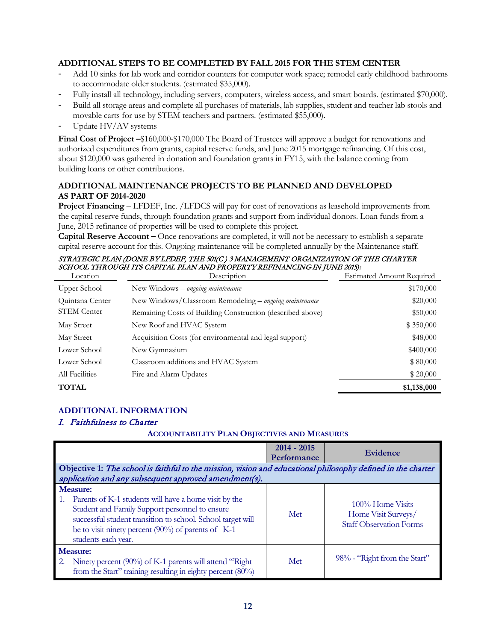#### **ADDITIONAL STEPS TO BE COMPLETED BY FALL 2015 FOR THE STEM CENTER**

- Add 10 sinks for lab work and corridor counters for computer work space; remodel early childhood bathrooms to accommodate older students. (estimated \$35,000).
- Fully install all technology, including servers, computers, wireless access, and smart boards. (estimated \$70,000).
- Build all storage areas and complete all purchases of materials, lab supplies, student and teacher lab stools and movable carts for use by STEM teachers and partners. (estimated \$55,000).
- Update HV/AV systems

**Final Cost of Project –**\$160,000-\$170,000 The Board of Trustees will approve a budget for renovations and authorized expenditures from grants, capital reserve funds, and June 2015 mortgage refinancing. Of this cost, about \$120,000 was gathered in donation and foundation grants in FY15, with the balance coming from building loans or other contributions.

#### **ADDITIONAL MAINTENANCE PROJECTS TO BE PLANNED AND DEVELOPED AS PART OF 2014-2020**

**Project Financing** – LFDEF, Inc. /LFDCS will pay for cost of renovations as leasehold improvements from the capital reserve funds, through foundation grants and support from individual donors. Loan funds from a June, 2015 refinance of properties will be used to complete this project.

**Capital Reserve Account –** Once renovations are completed, it will not be necessary to establish a separate capital reserve account for this. Ongoing maintenance will be completed annually by the Maintenance staff.

#### STRATEGIC PLAN (DONE BY LFDEF, THE 501(C ) 3 MANAGEMENT ORGANIZATION OF THE CHARTER SCHOOL THROUGH ITS CAPITAL PLAN AND PROPERTY REFINANCING IN JUNE 2015):

| Location           | Description                                                | <b>Estimated Amount Required</b> |
|--------------------|------------------------------------------------------------|----------------------------------|
| Upper School       | New Windows – ongoing maintenance                          | \$170,000                        |
| Quintana Center    | New Windows/Classroom Remodeling - ongoing maintenance     | \$20,000                         |
| <b>STEM Center</b> | Remaining Costs of Building Construction (described above) | \$50,000                         |
| May Street         | New Roof and HVAC System                                   | \$350,000                        |
| May Street         | Acquisition Costs (for environmental and legal support)    | \$48,000                         |
| Lower School       | New Gymnasium                                              | \$400,000                        |
| Lower School       | Classroom additions and HVAC System                        | \$80,000                         |
| All Facilities     | Fire and Alarm Updates                                     | \$20,000                         |
| <b>TOTAL</b>       |                                                            | \$1,138,000                      |

#### **ADDITIONAL INFORMATION**

#### I. Faithfulness to Charter

#### **ACCOUNTABILITY PLAN OBJECTIVES AND MEASURES**

|    |                                                                                                                                                                                                                                                                              | $2014 - 2015$<br>Performance | Evidence                                                                  |
|----|------------------------------------------------------------------------------------------------------------------------------------------------------------------------------------------------------------------------------------------------------------------------------|------------------------------|---------------------------------------------------------------------------|
|    | Objective 1: The school is faithful to the mission, vision and educational philosophy defined in the charter                                                                                                                                                                 |                              |                                                                           |
|    | application and any subsequent approved amendment(s).                                                                                                                                                                                                                        |                              |                                                                           |
|    | <b>Measure:</b><br>1. Parents of K-1 students will have a home visit by the<br>Student and Family Support personnel to ensure<br>successful student transition to school. School target will<br>be to visit ninety percent $(90\%)$ of parents of K-1<br>students each year. | Met                          | 100% Home Visits<br>Home Visit Surveys/<br><b>Staff Observation Forms</b> |
| 2. | <b>Measure:</b><br>Ninety percent (90%) of K-1 parents will attend "Right"<br>from the Start" training resulting in eighty percent (80%)                                                                                                                                     | Met                          | 98% - "Right from the Start"                                              |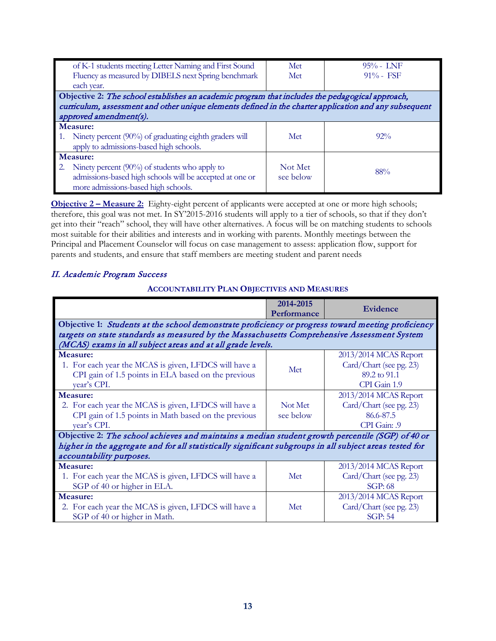| of K-1 students meeting Letter Naming and First Sound<br>Fluency as measured by DIBELS next Spring benchmark<br>each year.                                                                                                          | Met<br>Met           | $95% - LNF$<br>$91\% - FSF$ |
|-------------------------------------------------------------------------------------------------------------------------------------------------------------------------------------------------------------------------------------|----------------------|-----------------------------|
| Objective 2: The school establishes an academic program that includes the pedagogical approach,<br>curriculum, assessment and other unique elements defined in the charter application and any subsequent<br>approved amendment(s). |                      |                             |
| Measure:<br>1. Ninety percent (90%) of graduating eighth graders will<br>apply to admissions-based high schools.                                                                                                                    | Met                  | $92\%$                      |
| <b>Measure:</b><br>2. Ninety percent (90%) of students who apply to<br>admissions-based high schools will be accepted at one or<br>more admissions-based high schools.                                                              | Not Met<br>see below | 88%                         |

**Objective 2 – Measure 2:** Eighty-eight percent of applicants were accepted at one or more high schools; therefore, this goal was not met. In SY'2015-2016 students will apply to a tier of schools, so that if they don't get into their "reach" school, they will have other alternatives. A focus will be on matching students to schools most suitable for their abilities and interests and in working with parents. Monthly meetings between the Principal and Placement Counselor will focus on case management to assess: application flow, support for parents and students, and ensure that staff members are meeting student and parent needs

#### II. Academic Program Success

#### **ACCOUNTABILITY PLAN OBJECTIVES AND MEASURES**

|                                                                                                         | 2014-2015<br>Performance | Evidence                |
|---------------------------------------------------------------------------------------------------------|--------------------------|-------------------------|
| Objective 1: Students at the school demonstrate proficiency or progress toward meeting proficiency      |                          |                         |
| targets on state standards as measured by the Massachusetts Comprehensive Assessment System             |                          |                         |
| (MCAS) exams in all subject areas and at all grade levels.                                              |                          |                         |
| Measure:                                                                                                |                          | 2013/2014 MCAS Report   |
| 1. For each year the MCAS is given, LFDCS will have a                                                   |                          | Card/Chart (see pg. 23) |
| CPI gain of 1.5 points in ELA based on the previous                                                     | Met                      | 89.2 to 91.1            |
| year's CPI.                                                                                             |                          | CPI Gain 1.9            |
| Measure:                                                                                                |                          | 2013/2014 MCAS Report   |
| 2. For each year the MCAS is given, LFDCS will have a                                                   | Not Met                  | Card/Chart (see pg. 23) |
| CPI gain of 1.5 points in Math based on the previous                                                    | see below                | 86.6-87.5               |
| year's CPI.                                                                                             |                          | CPI Gain: .9            |
| Objective 2: The school achieves and maintains a median student growth percentile (SGP) of 40 or        |                          |                         |
| higher in the aggregate and for all statistically significant subgroups in all subject areas tested for |                          |                         |
| accountability purposes.                                                                                |                          |                         |
| Measure:                                                                                                |                          | 2013/2014 MCAS Report   |
| 1. For each year the MCAS is given, LFDCS will have a                                                   | Met                      | Card/Chart (see pg. 23) |
| SGP of 40 or higher in ELA.                                                                             |                          | SGP: 68                 |
| Measure:                                                                                                |                          | 2013/2014 MCAS Report   |
| 2. For each year the MCAS is given, LFDCS will have a                                                   | Met                      | Card/Chart (see pg. 23) |
| SGP of 40 or higher in Math.                                                                            |                          | <b>SGP: 54</b>          |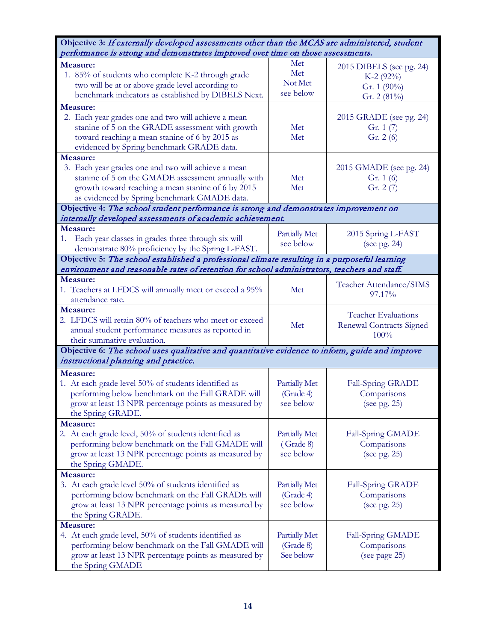| Objective 3: If externally developed assessments other than the MCAS are administered, student                                                                                                                              |                                                |                                                                         |
|-----------------------------------------------------------------------------------------------------------------------------------------------------------------------------------------------------------------------------|------------------------------------------------|-------------------------------------------------------------------------|
| performance is strong and demonstrates improved over time on those assessments.                                                                                                                                             |                                                |                                                                         |
| Measure:<br>1. 85% of students who complete K-2 through grade<br>two will be at or above grade level according to<br>benchmark indicators as established by DIBELS Next.                                                    | Met<br>Met<br>Not Met<br>see below             | $2015$ DIBELS (see pg. 24)<br>$K-2$ (92%)<br>Gr. 1 (90%)<br>Gr. 2 (81%) |
| Measure:<br>2. Each year grades one and two will achieve a mean<br>stanine of 5 on the GRADE assessment with growth<br>toward reaching a mean stanine of 6 by 2015 as<br>evidenced by Spring benchmark GRADE data.          | Met<br>Met                                     | 2015 GRADE (see pg. 24)<br>Gr. $1(7)$<br>Gr. 2 (6)                      |
| Measure:<br>3. Each year grades one and two will achieve a mean<br>stanine of 5 on the GMADE assessment annually with<br>growth toward reaching a mean stanine of 6 by 2015<br>as evidenced by Spring benchmark GMADE data. | Met<br>Met                                     | 2015 GMADE (see pg. 24)<br>Gr. $1(6)$<br>Gr. $2(7)$                     |
| Objective 4: The school student performance is strong and demonstrates improvement on                                                                                                                                       |                                                |                                                                         |
| internally developed assessments of academic achievement.<br>Measure:<br>Each year classes in grades three through six will<br>1.<br>demonstrate 80% proficiency by the Spring L-FAST.                                      | <b>Partially Met</b><br>see below              | 2015 Spring L-FAST<br>(see pg. 24)                                      |
| Objective 5: The school established a professional climate resulting in a purposeful learning                                                                                                                               |                                                |                                                                         |
| environment and reasonable rates of retention for school administrators, teachers and staff.<br>Measure:                                                                                                                    |                                                |                                                                         |
| 1. Teachers at LFDCS will annually meet or exceed a 95%<br>attendance rate.                                                                                                                                                 | Met                                            | Teacher Attendance/SIMS<br>97.17%                                       |
| <b>Measure:</b><br>2. LFDCS will retain 80% of teachers who meet or exceed<br>annual student performance measures as reported in<br>their summative evaluation.                                                             | Met                                            | <b>Teacher Evaluations</b><br>Renewal Contracts Signed<br>100%          |
| Objective 6: The school uses qualitative and quantitative evidence to inform, guide and improve<br>instructional planning and practice.                                                                                     |                                                |                                                                         |
|                                                                                                                                                                                                                             |                                                |                                                                         |
| Measure:<br>1. At each grade level 50% of students identified as<br>performing below benchmark on the Fall GRADE will<br>grow at least 13 NPR percentage points as measured by<br>the Spring GRADE.                         | Partially Met<br>(Grade 4)<br>see below        | Fall-Spring GRADE<br>Comparisons<br>(see pg. $25$ )                     |
| Measure:<br>2. At each grade level, 50% of students identified as<br>performing below benchmark on the Fall GMADE will<br>grow at least 13 NPR percentage points as measured by<br>the Spring GMADE.                        | <b>Partially Met</b><br>(Grade 8)<br>see below | Fall-Spring GMADE<br>Comparisons<br>(see pg. 25)                        |
| Measure:                                                                                                                                                                                                                    |                                                |                                                                         |
| 3. At each grade level 50% of students identified as<br>performing below benchmark on the Fall GRADE will<br>grow at least 13 NPR percentage points as measured by<br>the Spring GRADE.                                     | Partially Met<br>(Grade 4)<br>see below        | Fall-Spring GRADE<br>Comparisons<br>(see pg. 25)                        |
| Measure:<br>4. At each grade level, 50% of students identified as<br>performing below benchmark on the Fall GMADE will<br>grow at least 13 NPR percentage points as measured by<br>the Spring GMADE                         | <b>Partially Met</b><br>(Grade 8)<br>See below | Fall-Spring GMADE<br>Comparisons<br>(see page 25)                       |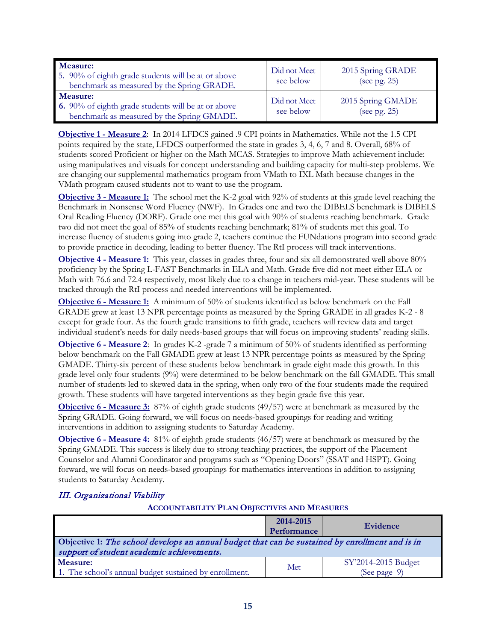| Measure:<br>5. 90% of eighth grade students will be at or above<br>benchmark as measured by the Spring GRADE. | Did not Meet<br>see below | 2015 Spring GRADE<br>(see pg. $25$ ) |
|---------------------------------------------------------------------------------------------------------------|---------------------------|--------------------------------------|
| Measure:<br>6. 90% of eighth grade students will be at or above<br>benchmark as measured by the Spring GMADE. | Did not Meet<br>see below | 2015 Spring GMADE<br>(see pg. 25)    |

**Objective 1 - Measure 2**: In 2014 LFDCS gained .9 CPI points in Mathematics. While not the 1.5 CPI points required by the state, LFDCS outperformed the state in grades 3, 4, 6, 7 and 8. Overall, 68% of students scored Proficient or higher on the Math MCAS. Strategies to improve Math achievement include: using manipulatives and visuals for concept understanding and building capacity for multi-step problems. We are changing our supplemental mathematics program from VMath to IXL Math because changes in the VMath program caused students not to want to use the program.

**Objective 3 - Measure 1:** The school met the K-2 goal with 92% of students at this grade level reaching the Benchmark in Nonsense Word Fluency (NWF). In Grades one and two the DIBELS benchmark is DIBELS Oral Reading Fluency (DORF). Grade one met this goal with 90% of students reaching benchmark. Grade two did not meet the goal of 85% of students reaching benchmark; 81% of students met this goal. To increase fluency of students going into grade 2, teachers continue the FUNdations program into second grade to provide practice in decoding, leading to better fluency. The RtI process will track interventions.

**Objective 4 - Measure 1:** This year, classes in grades three, four and six all demonstrated well above 80% proficiency by the Spring L-FAST Benchmarks in ELA and Math. Grade five did not meet either ELA or Math with 76.6 and 72.4 respectively, most likely due to a change in teachers mid-year. These students will be tracked through the RtI process and needed interventions will be implemented.

**Objective 6 - Measure 1:** A minimum of 50% of students identified as below benchmark on the Fall GRADE grew at least 13 NPR percentage points as measured by the Spring GRADE in all grades K-2 - 8 except for grade four. As the fourth grade transitions to fifth grade, teachers will review data and target individual student's needs for daily needs-based groups that will focus on improving students' reading skills.

**Objective 6 - Measure 2**: In grades K-2 -grade 7 a minimum of 50% of students identified as performing below benchmark on the Fall GMADE grew at least 13 NPR percentage points as measured by the Spring GMADE. Thirty-six percent of these students below benchmark in grade eight made this growth. In this grade level only four students (9%) were determined to be below benchmark on the fall GMADE. This small number of students led to skewed data in the spring, when only two of the four students made the required growth. These students will have targeted interventions as they begin grade five this year.

**Objective 6 - Measure 3:** 87% of eighth grade students (49/57) were at benchmark as measured by the Spring GRADE. Going forward, we will focus on needs-based groupings for reading and writing interventions in addition to assigning students to Saturday Academy.

**Objective 6 - Measure 4:** 81% of eighth grade students (46/57) were at benchmark as measured by the Spring GMADE. This success is likely due to strong teaching practices, the support of the Placement Counselor and Alumni Coordinator and programs such as "Opening Doors" (SSAT and HSPT). Going forward, we will focus on needs-based groupings for mathematics interventions in addition to assigning students to Saturday Academy.

#### III. Organizational Viability

#### **ACCOUNTABILITY PLAN OBJECTIVES AND MEASURES**

|                                                                                                                                              | 2014-2015<br><b>Performance</b> | Evidence                            |
|----------------------------------------------------------------------------------------------------------------------------------------------|---------------------------------|-------------------------------------|
| Objective 1: The school develops an annual budget that can be sustained by enrollment and is in<br>support of student academic achievements. |                                 |                                     |
| Measure:<br>1. The school's annual budget sustained by enrollment.                                                                           | Met                             | SY'2014-2015 Budget<br>(See page 9) |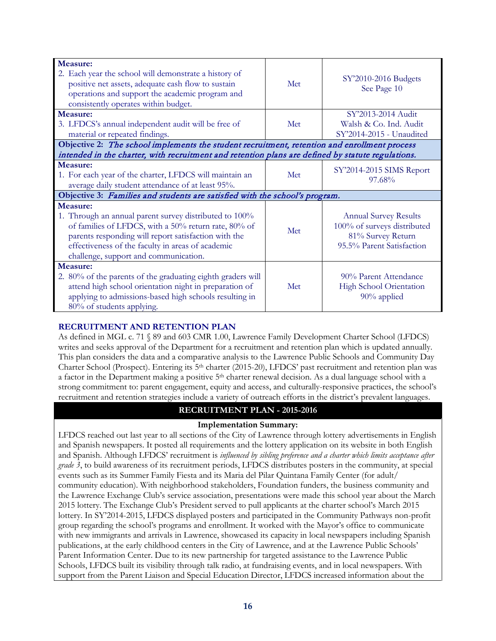| Measure:                                                                                                                                                                                                                                                                         |                                                                             |                                                                                                               |  |
|----------------------------------------------------------------------------------------------------------------------------------------------------------------------------------------------------------------------------------------------------------------------------------|-----------------------------------------------------------------------------|---------------------------------------------------------------------------------------------------------------|--|
| 2. Each year the school will demonstrate a history of<br>positive net assets, adequate cash flow to sustain<br>operations and support the academic program and<br>consistently operates within budget.                                                                           | Met                                                                         | SY'2010-2016 Budgets<br>See Page 10                                                                           |  |
| Measure:                                                                                                                                                                                                                                                                         |                                                                             | SY'2013-2014 Audit                                                                                            |  |
| 3. LFDCS's annual independent audit will be free of<br>material or repeated findings.                                                                                                                                                                                            | Met                                                                         | Walsh & Co. Ind. Audit<br>SY'2014-2015 - Unaudited                                                            |  |
| Objective 2: The school implements the student recruitment, retention and enrollment process                                                                                                                                                                                     |                                                                             |                                                                                                               |  |
| intended in the charter, with recruitment and retention plans are defined by statute regulations.                                                                                                                                                                                |                                                                             |                                                                                                               |  |
| Measure:<br>1. For each year of the charter, LFDCS will maintain an<br>Met<br>97.68%<br>average daily student attendance of at least 95%.                                                                                                                                        |                                                                             | SY'2014-2015 SIMS Report                                                                                      |  |
|                                                                                                                                                                                                                                                                                  | Objective 3: Families and students are satisfied with the school's program. |                                                                                                               |  |
| Measure:<br>1. Through an annual parent survey distributed to 100%<br>of families of LFDCS, with a 50% return rate, 80% of<br>parents responding will report satisfaction with the<br>effectiveness of the faculty in areas of academic<br>challenge, support and communication. | Met                                                                         | <b>Annual Survey Results</b><br>100% of surveys distributed<br>81% Survey Return<br>95.5% Parent Satisfaction |  |
| Measure:<br>2. 80% of the parents of the graduating eighth graders will<br>attend high school orientation night in preparation of<br>applying to admissions-based high schools resulting in<br>80% of students applying.                                                         | Met                                                                         | 90% Parent Attendance<br>High School Orientation<br>90% applied                                               |  |

#### **RECRUITMENT AND RETENTION PLAN**

As defined in MGL c. 71 § 89 and 603 CMR 1.00, Lawrence Family Development Charter School (LFDCS) writes and seeks approval of the Department for a recruitment and retention plan which is updated annually. This plan considers the data and a comparative analysis to the Lawrence Public Schools and Community Day Charter School (Prospect). Entering its 5th charter (2015-20), LFDCS' past recruitment and retention plan was a factor in the Department making a positive 5<sup>th</sup> charter renewal decision. As a dual language school with a strong commitment to: parent engagement, equity and access, and culturally-responsive practices, the school's recruitment and retention strategies include a variety of outreach efforts in the district's prevalent languages.

#### **RECRUITMENT PLAN - 2015-2016**

#### **Implementation Summary:**

LFDCS reached out last year to all sections of the City of Lawrence through lottery advertisements in English and Spanish newspapers. It posted all requirements and the lottery application on its website in both English and Spanish. Although LFDCS' recruitment is *influenced by sibling preference and a charter which limits acceptance after grade 3*, to build awareness of its recruitment periods, LFDCS distributes posters in the community, at special events such as its Summer Family Fiesta and its Maria del Pilar Quintana Family Center (for adult/ community education). With neighborhood stakeholders, Foundation funders, the business community and the Lawrence Exchange Club's service association, presentations were made this school year about the March 2015 lottery. The Exchange Club's President served to pull applicants at the charter school's March 2015 lottery. In SY'2014-2015, LFDCS displayed posters and participated in the Community Pathways non-profit group regarding the school's programs and enrollment. It worked with the Mayor's office to communicate with new immigrants and arrivals in Lawrence, showcased its capacity in local newspapers including Spanish publications, at the early childhood centers in the City of Lawrence, and at the Lawrence Public Schools' Parent Information Center. Due to its new partnership for targeted assistance to the Lawrence Public Schools, LFDCS built its visibility through talk radio, at fundraising events, and in local newspapers. With support from the Parent Liaison and Special Education Director, LFDCS increased information about the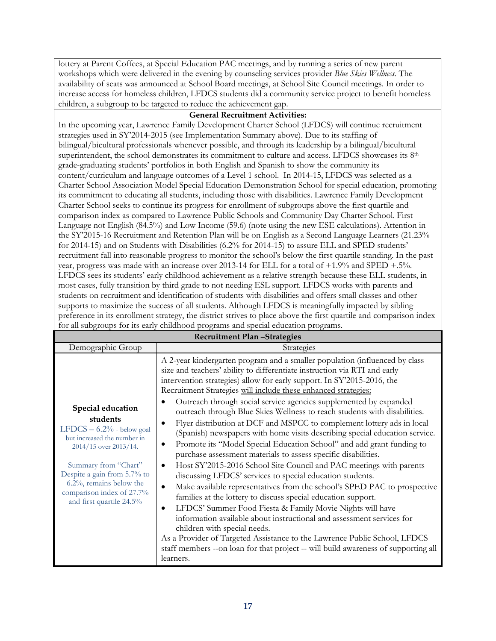lottery at Parent Coffees, at Special Education PAC meetings, and by running a series of new parent workshops which were delivered in the evening by counseling services provider *Blue Skies Wellness.* The availability of seats was announced at School Board meetings, at School Site Council meetings. In order to increase access for homeless children, LFDCS students did a community service project to benefit homeless children, a subgroup to be targeted to reduce the achievement gap.

#### **General Recruitment Activities:**

In the upcoming year, Lawrence Family Development Charter School (LFDCS) will continue recruitment strategies used in SY'2014-2015 (see Implementation Summary above). Due to its staffing of bilingual/bicultural professionals whenever possible, and through its leadership by a bilingual/bicultural superintendent, the school demonstrates its commitment to culture and access. LFDCS showcases its 8<sup>th</sup> grade-graduating students' portfolios in both English and Spanish to show the community its content/curriculum and language outcomes of a Level 1 school. In 2014-15, LFDCS was selected as a Charter School Association Model Special Education Demonstration School for special education, promoting its commitment to educating all students, including those with disabilities. Lawrence Family Development Charter School seeks to continue its progress for enrollment of subgroups above the first quartile and comparison index as compared to Lawrence Public Schools and Community Day Charter School. First Language not English (84.5%) and Low Income (59.6) (note using the new ESE calculations). Attention in the SY'2015-16 Recruitment and Retention Plan will be on English as a Second Language Learners (21.23% for 2014-15) and on Students with Disabilities (6.2% for 2014-15) to assure ELL and SPED students' recruitment fall into reasonable progress to monitor the school's below the first quartile standing. In the past year, progress was made with an increase over 2013-14 for ELL for a total of +1.9% and SPED +.5%. LFDCS sees its students' early childhood achievement as a relative strength because these ELL students, in most cases, fully transition by third grade to not needing ESL support. LFDCS works with parents and students on recruitment and identification of students with disabilities and offers small classes and other supports to maximize the success of all students. Although LFDCS is meaningfully impacted by sibling preference in its enrollment strategy, the district strives to place above the first quartile and comparison index for all subgroups for its early childhood programs and special education programs.

| <b>Recruitment Plan-Strategies</b>                                                                                                                                                                                                                                  |                                                                                                                                                                                                                                                                                                                                                                                                                                                                                                                                                                                                                                                                                                                                                                                                                                                                                                                                                                                                                                                                                                                                                                                                                                                                                                                                                                                                                               |  |  |
|---------------------------------------------------------------------------------------------------------------------------------------------------------------------------------------------------------------------------------------------------------------------|-------------------------------------------------------------------------------------------------------------------------------------------------------------------------------------------------------------------------------------------------------------------------------------------------------------------------------------------------------------------------------------------------------------------------------------------------------------------------------------------------------------------------------------------------------------------------------------------------------------------------------------------------------------------------------------------------------------------------------------------------------------------------------------------------------------------------------------------------------------------------------------------------------------------------------------------------------------------------------------------------------------------------------------------------------------------------------------------------------------------------------------------------------------------------------------------------------------------------------------------------------------------------------------------------------------------------------------------------------------------------------------------------------------------------------|--|--|
| Demographic Group                                                                                                                                                                                                                                                   | Strategies                                                                                                                                                                                                                                                                                                                                                                                                                                                                                                                                                                                                                                                                                                                                                                                                                                                                                                                                                                                                                                                                                                                                                                                                                                                                                                                                                                                                                    |  |  |
| Special education<br>students<br>LFDCS $-6.2\%$ - below goal<br>but increased the number in<br>2014/15 over 2013/14.<br>Summary from "Chart"<br>Despite a gain from 5.7% to<br>$6.2\%$ , remains below the<br>comparison index of 27.7%<br>and first quartile 24.5% | A 2-year kindergarten program and a smaller population (influenced by class<br>size and teachers' ability to differentiate instruction via RTI and early<br>intervention strategies) allow for early support. In SY'2015-2016, the<br>Recruitment Strategies will include these enhanced strategies:<br>Outreach through social service agencies supplemented by expanded<br>outreach through Blue Skies Wellness to reach students with disabilities.<br>Flyer distribution at DCF and MSPCC to complement lottery ads in local<br>(Spanish) newspapers with home visits describing special education service.<br>Promote its "Model Special Education School" and add grant funding to<br>٠<br>purchase assessment materials to assess specific disabilities.<br>Host SY'2015-2016 School Site Council and PAC meetings with parents<br>٠<br>discussing LFDCS' services to special education students.<br>Make available representatives from the school's SPED PAC to prospective<br>$\bullet$<br>families at the lottery to discuss special education support.<br>LFDCS' Summer Food Fiesta & Family Movie Nights will have<br>٠<br>information available about instructional and assessment services for<br>children with special needs.<br>As a Provider of Targeted Assistance to the Lawrence Public School, LFDCS<br>staff members --on loan for that project -- will build awareness of supporting all<br>learners. |  |  |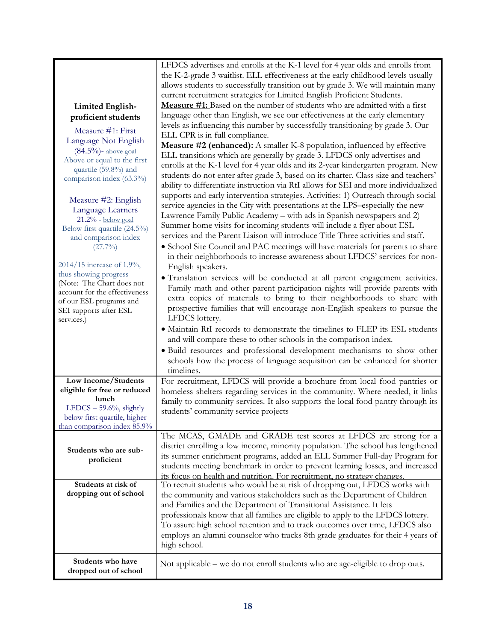|                               | LFDCS advertises and enrolls at the K-1 level for 4 year olds and enrolls from<br>the K-2-grade 3 waitlist. ELL effectiveness at the early childhood levels usually |
|-------------------------------|---------------------------------------------------------------------------------------------------------------------------------------------------------------------|
|                               | allows students to successfully transition out by grade 3. We will maintain many                                                                                    |
|                               | current recruitment strategies for Limited English Proficient Students.                                                                                             |
| <b>Limited English-</b>       | Measure #1: Based on the number of students who are admitted with a first                                                                                           |
| proficient students           | language other than English, we see our effectiveness at the early elementary                                                                                       |
|                               | levels as influencing this number by successfully transitioning by grade 3. Our                                                                                     |
| Measure #1: First             | ELL CPR is in full compliance.                                                                                                                                      |
| Language Not English          | Measure #2 (enhanced): A smaller K-8 population, influenced by effective                                                                                            |
| $(84.5\%)$ - above goal       | ELL transitions which are generally by grade 3. LFDCS only advertises and                                                                                           |
| Above or equal to the first   | enrolls at the K-1 level for 4 year olds and its 2-year kindergarten program. New                                                                                   |
| quartile (59.8%) and          | students do not enter after grade 3, based on its charter. Class size and teachers'                                                                                 |
| comparison index (63.3%)      | ability to differentiate instruction via RtI allows for SEI and more individualized                                                                                 |
|                               | supports and early intervention strategies. Activities: 1) Outreach through social                                                                                  |
| Measure #2: English           | service agencies in the City with presentations at the LPS-especially the new                                                                                       |
| Language Learners             | Lawrence Family Public Academy - with ads in Spanish newspapers and 2)                                                                                              |
| $21.2%$ - below goal          |                                                                                                                                                                     |
| Below first quartile (24.5%)  | Summer home visits for incoming students will include a flyer about ESL<br>services and the Parent Liaison will introduce Title Three activities and staff.         |
| and comparison index          |                                                                                                                                                                     |
| $(27.7\%)$                    | • School Site Council and PAC meetings will have materials for parents to share                                                                                     |
| 2014/15 increase of 1.9%,     | in their neighborhoods to increase awareness about LFDCS' services for non-                                                                                         |
| thus showing progress         | English speakers.                                                                                                                                                   |
| (Note: The Chart does not     | · Translation services will be conducted at all parent engagement activities.                                                                                       |
| account for the effectiveness | Family math and other parent participation nights will provide parents with                                                                                         |
| of our ESL programs and       | extra copies of materials to bring to their neighborhoods to share with                                                                                             |
| SEI supports after ESL        | prospective families that will encourage non-English speakers to pursue the                                                                                         |
| services.)                    | LFDCS lottery.                                                                                                                                                      |
|                               | • Maintain RtI records to demonstrate the timelines to FLEP its ESL students                                                                                        |
|                               | and will compare these to other schools in the comparison index.                                                                                                    |
|                               | · Build resources and professional development mechanisms to show other                                                                                             |
|                               | schools how the process of language acquisition can be enhanced for shorter                                                                                         |
|                               | timelines.                                                                                                                                                          |
| Low Income/Students           | For recruitment, LFDCS will provide a brochure from local food pantries or                                                                                          |
| eligible for free or reduced  | homeless shelters regarding services in the community. Where needed, it links                                                                                       |
| lunch                         | family to community services. It also supports the local food pantry through its                                                                                    |
| LFDCS $-59.6%$ , slightly     | students' community service projects                                                                                                                                |
| below first quartile, higher  |                                                                                                                                                                     |
| than comparison index 85.9%   |                                                                                                                                                                     |
|                               | The MCAS, GMADE and GRADE test scores at LFDCS are strong for a                                                                                                     |
| Students who are sub-         | district enrolling a low income, minority population. The school has lengthened                                                                                     |
| proficient                    | its summer enrichment programs, added an ELL Summer Full-day Program for                                                                                            |
|                               | students meeting benchmark in order to prevent learning losses, and increased                                                                                       |
|                               | its focus on health and nutrition. For recruitment, no strategy changes.                                                                                            |
| Students at risk of           | To recruit students who would be at risk of dropping out, LFDCS works with                                                                                          |
| dropping out of school        | the community and various stakeholders such as the Department of Children                                                                                           |
|                               | and Families and the Department of Transitional Assistance. It lets                                                                                                 |
|                               | professionals know that all families are eligible to apply to the LFDCS lottery.                                                                                    |
|                               | To assure high school retention and to track outcomes over time, LFDCS also                                                                                         |
|                               | employs an alumni counselor who tracks 8th grade graduates for their 4 years of                                                                                     |
|                               | high school.                                                                                                                                                        |
| Students who have             |                                                                                                                                                                     |
| dropped out of school         | Not applicable – we do not enroll students who are age-eligible to drop outs.                                                                                       |
|                               |                                                                                                                                                                     |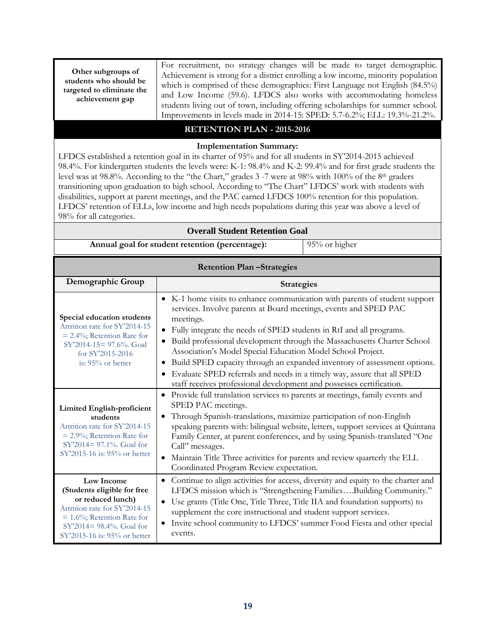**Other subgroups of students who should be targeted to eliminate the achievement gap**

For recruitment, no strategy changes will be made to target demographic. Achievement is strong for a district enrolling a low income, minority population which is comprised of these demographics: First Language not English (84.5%) and Low Income (59.6). LFDCS also works with accommodating homeless students living out of town, including offering scholarships for summer school. Improvements in levels made in 2014-15: SPED: 5.7-6.2%; ELL: 19.3%-21.2%.

#### **RETENTION PLAN - 2015-2016**

#### **Implementation Summary:**

LFDCS established a retention goal in its charter of 95% and for all students in SY'2014-2015 achieved 98.4%. For kindergarten students the levels were: K-1: 98.4% and K-2: 99.4% and for first grade students the level was at 98.8%. According to the "the Chart," grades 3 -7 were at 98% with 100% of the 8th graders transitioning upon graduation to high school. According to "The Chart" LFDCS' work with students with disabilities, support at parent meetings, and the PAC earned LFDCS 100% retention for this population. LFDCS' retention of ELLs, low income and high needs populations during this year was above a level of 98% for all categories.

| <b>Overall Student Retention Goal</b>                                                                                                                                                              |                                                                                                                                                                                                                                                                                                                                                                                                                                                                                                                                                                                                                     |                   |  |
|----------------------------------------------------------------------------------------------------------------------------------------------------------------------------------------------------|---------------------------------------------------------------------------------------------------------------------------------------------------------------------------------------------------------------------------------------------------------------------------------------------------------------------------------------------------------------------------------------------------------------------------------------------------------------------------------------------------------------------------------------------------------------------------------------------------------------------|-------------------|--|
| Annual goal for student retention (percentage):                                                                                                                                                    |                                                                                                                                                                                                                                                                                                                                                                                                                                                                                                                                                                                                                     | 95% or higher     |  |
| <b>Retention Plan-Strategies</b>                                                                                                                                                                   |                                                                                                                                                                                                                                                                                                                                                                                                                                                                                                                                                                                                                     |                   |  |
| Demographic Group                                                                                                                                                                                  |                                                                                                                                                                                                                                                                                                                                                                                                                                                                                                                                                                                                                     | <b>Strategies</b> |  |
| Special education students<br>Attrition rate for SY'2014-15<br>$= 2.4\%$ ; Retention Rate for<br>$SY'2014-15=97.6\%$ . Goal<br>for SY'2015-2016<br>is: 95% or better                               | • K-1 home visits to enhance communication with parents of student support<br>services. Involve parents at Board meetings, events and SPED PAC<br>meetings.<br>• Fully integrate the needs of SPED students in RtI and all programs.<br>· Build professional development through the Massachusetts Charter School<br>Association's Model Special Education Model School Project.<br>• Build SPED capacity through an expanded inventory of assessment options.<br>• Evaluate SPED referrals and needs in a timely way, assure that all SPED<br>staff receives professional development and possesses certification. |                   |  |
| <b>Limited English-proficient</b><br>students<br>Attrition rate for SY'2014-15<br>$= 2.9\%$ ; Retention Rate for<br>$SY'2014 = 97.1\%$ . Goal for<br>SY'2015-16 is: 95% or better                  | • Provide full translation services to parents at meetings, family events and<br>SPED PAC meetings.<br>• Through Spanish-translations, maximize participation of non-English<br>speaking parents with: bilingual website, letters, support services at Quintana<br>Family Center, at parent conferences, and by using Spanish-translated "One<br>Call" messages.<br>Maintain Title Three activities for parents and review quarterly the ELL<br>$\bullet$<br>Coordinated Program Review expectation.                                                                                                                |                   |  |
| Low Income<br>(Students eligible for free<br>or reduced lunch)<br>Attrition rate for SY'2014-15<br>$= 1.6\%$ ; Retention Rate for<br>$SY'2014 = 98.4\%$ . Goal for<br>SY'2015-16 is: 95% or better | • Continue to align activities for access, diversity and equity to the charter and<br>LFDCS mission which is "Strengthening FamiliesBuilding Community."<br>• Use grants (Title One, Title Three, Title IIA and foundation supports) to<br>supplement the core instructional and student support services.<br>• Invite school community to LFDCS' summer Food Fiesta and other special<br>events.                                                                                                                                                                                                                   |                   |  |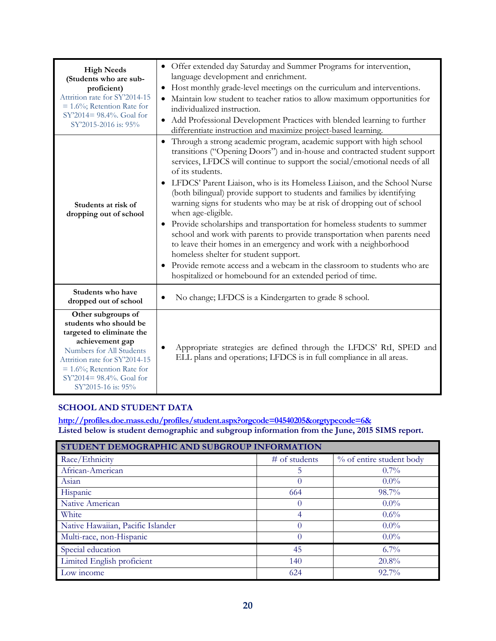| <b>High Needs</b><br>(Students who are sub-<br>proficient)<br>Attrition rate for SY'2014-15<br>$= 1.6\%$ ; Retention Rate for<br>SY'2014= 98.4%. Goal for<br>SY'2015-2016 is: 95%                                                             | • Offer extended day Saturday and Summer Programs for intervention,<br>language development and enrichment.<br>• Host monthly grade-level meetings on the curriculum and interventions.<br>Maintain low student to teacher ratios to allow maximum opportunities for<br>individualized instruction.<br>• Add Professional Development Practices with blended learning to further<br>differentiate instruction and maximize project-based learning.                                                                                                                                                                                                                                                                                                                                                                                                                                                                                                  |
|-----------------------------------------------------------------------------------------------------------------------------------------------------------------------------------------------------------------------------------------------|-----------------------------------------------------------------------------------------------------------------------------------------------------------------------------------------------------------------------------------------------------------------------------------------------------------------------------------------------------------------------------------------------------------------------------------------------------------------------------------------------------------------------------------------------------------------------------------------------------------------------------------------------------------------------------------------------------------------------------------------------------------------------------------------------------------------------------------------------------------------------------------------------------------------------------------------------------|
| Students at risk of<br>dropping out of school                                                                                                                                                                                                 | Through a strong academic program, academic support with high school<br>$\bullet$<br>transitions ("Opening Doors") and in-house and contracted student support<br>services, LFDCS will continue to support the social/emotional needs of all<br>of its students.<br>LFDCS' Parent Liaison, who is its Homeless Liaison, and the School Nurse<br>$\bullet$<br>(both bilingual) provide support to students and families by identifying<br>warning signs for students who may be at risk of dropping out of school<br>when age-eligible.<br>Provide scholarships and transportation for homeless students to summer<br>school and work with parents to provide transportation when parents need<br>to leave their homes in an emergency and work with a neighborhood<br>homeless shelter for student support.<br>Provide remote access and a webcam in the classroom to students who are<br>hospitalized or homebound for an extended period of time. |
| Students who have<br>dropped out of school                                                                                                                                                                                                    | No change; LFDCS is a Kindergarten to grade 8 school.                                                                                                                                                                                                                                                                                                                                                                                                                                                                                                                                                                                                                                                                                                                                                                                                                                                                                               |
| Other subgroups of<br>students who should be<br>targeted to eliminate the<br>achievement gap<br>Numbers for All Students<br>Attrition rate for SY'2014-15<br>$= 1.6\%$ ; Retention Rate for<br>SY'2014= 98.4%. Goal for<br>SY'2015-16 is: 95% | Appropriate strategies are defined through the LFDCS' RtI, SPED and<br>ELL plans and operations; LFDCS is in full compliance in all areas.                                                                                                                                                                                                                                                                                                                                                                                                                                                                                                                                                                                                                                                                                                                                                                                                          |

#### **SCHOOL AND STUDENT DATA**

**<http://profiles.doe.mass.edu/profiles/student.aspx?orgcode=04540205&orgtypecode=6&> Listed below is student demographic and subgroup information from the June, 2015 SIMS report.**

| STUDENT DEMOGRAPHIC AND SUBGROUP INFORMATION |                 |                          |  |
|----------------------------------------------|-----------------|--------------------------|--|
| Race/Ethnicity                               | $#$ of students | % of entire student body |  |
| African-American                             | 5               | $0.7\%$                  |  |
| Asian                                        | $\theta$        | $0.0\%$                  |  |
| Hispanic                                     | 664             | 98.7%                    |  |
| Native American                              | $\left($        | $0.0\%$                  |  |
| White                                        | 4               | $0.6\%$                  |  |
| Native Hawaiian, Pacific Islander            |                 | $0.0\%$                  |  |
| Multi-race, non-Hispanic                     | 0               | $0.0\%$                  |  |
| Special education                            | 45              | $6.7\%$                  |  |
| Limited English proficient                   | 140             | 20.8%                    |  |
| Low income                                   | 624             | $92.7\%$                 |  |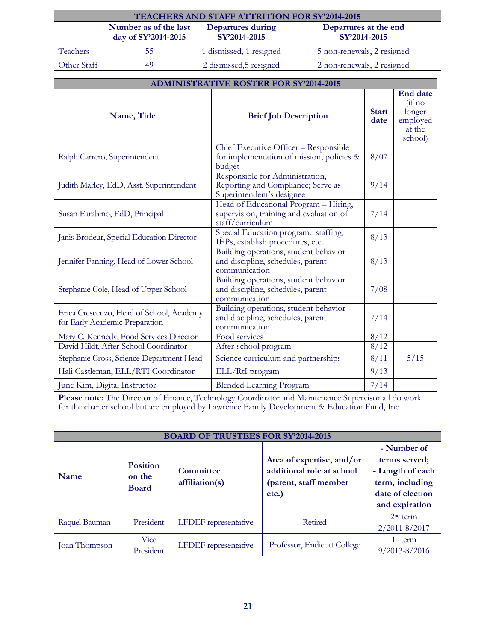| TEACHERS AND STAFF ATTRITION FOR SY'2014-2015 |                                                                                                                            |                         |                            |
|-----------------------------------------------|----------------------------------------------------------------------------------------------------------------------------|-------------------------|----------------------------|
|                                               | Number as of the last<br>Departures at the end<br>Departures during<br>day of SY'2014-2015<br>SY'2014-2015<br>SY'2014-2015 |                         |                            |
| <b>Teachers</b>                               | 55                                                                                                                         | 1 dismissed, 1 resigned | 5 non-renewals, 2 resigned |
| Other Staff                                   | 49                                                                                                                         | 2 dismissed, 5 resigned | 2 non-renewals, 2 resigned |

| <b>ADMINISTRATIVE ROSTER FOR SY'2014-2015</b>                              |                                                                                                      |                      |                                                                                  |
|----------------------------------------------------------------------------|------------------------------------------------------------------------------------------------------|----------------------|----------------------------------------------------------------------------------|
| Name, Title                                                                | <b>Brief Job Description</b>                                                                         | <b>Start</b><br>date | <b>End date</b><br>$(i f \text{ no})$<br>longer<br>employed<br>at the<br>school) |
| Ralph Carrero, Superintendent                                              | Chief Executive Officer - Responsible<br>for implementation of mission, policies &<br>budget         | 8/07                 |                                                                                  |
| Judith Marley, EdD, Asst. Superintendent                                   | Responsible for Administration,<br>Reporting and Compliance; Serve as<br>Superintendent's designee   | 9/14                 |                                                                                  |
| Susan Earabino, EdD, Principal                                             | Head of Educational Program - Hiring,<br>supervision, training and evaluation of<br>staff/curriculum | 7/14                 |                                                                                  |
| Janis Brodeur, Special Education Director                                  | Special Education program: staffing,<br>IEPs, establish procedures, etc.                             | 8/13                 |                                                                                  |
| Jennifer Fanning, Head of Lower School                                     | Building operations, student behavior<br>and discipline, schedules, parent<br>communication          | 8/13                 |                                                                                  |
| Stephanie Cole, Head of Upper School                                       | Building operations, student behavior<br>and discipline, schedules, parent<br>communication          | 7/08                 |                                                                                  |
| Erica Crescenzo, Head of School, Academy<br>for Early Academic Preparation | Building operations, student behavior<br>and discipline, schedules, parent<br>communication          | 7/14                 |                                                                                  |
| Mary C. Kennedy, Food Services Director                                    | Food services                                                                                        | 8/12                 |                                                                                  |
| David Hildt, After-School Coordinator                                      | After-school program                                                                                 | 8/12                 |                                                                                  |
| Stephanie Cross, Science Department Head                                   | Science curriculum and partnerships                                                                  | 8/11                 | 5/15                                                                             |
| Hali Castleman, ELL/RTI Coordinator                                        | ELL/RtI program                                                                                      | 9/13                 |                                                                                  |
| June Kim, Digital Instructor                                               | <b>Blended Learning Program</b>                                                                      | 7/14                 |                                                                                  |

**Please note:** The Director of Finance, Technology Coordinator and Maintenance Supervisor all do work for the charter school but are employed by Lawrence Family Development & Education Fund, Inc.

| <b>BOARD OF TRUSTEES FOR SY'2014-2015</b> |                                           |                                    |                                                                                          |                                                                                                           |
|-------------------------------------------|-------------------------------------------|------------------------------------|------------------------------------------------------------------------------------------|-----------------------------------------------------------------------------------------------------------|
| Name                                      | <b>Position</b><br>on the<br><b>Board</b> | <b>Committee</b><br>affiliation(s) | Area of expertise, and/or<br>additional role at school<br>(parent, staff member<br>etc.) | - Number of<br>terms served;<br>- Length of each<br>term, including<br>date of election<br>and expiration |
| Raquel Bauman                             | President                                 | LFDEF representative               | Retired                                                                                  | $2nd$ term<br>$2/2011 - 8/2017$                                                                           |
| Joan Thompson                             | Vice<br>President                         | <b>LFDEF</b> representative        | Professor, Endicott College                                                              | $1st$ term<br>$9/2013 - 8/2016$                                                                           |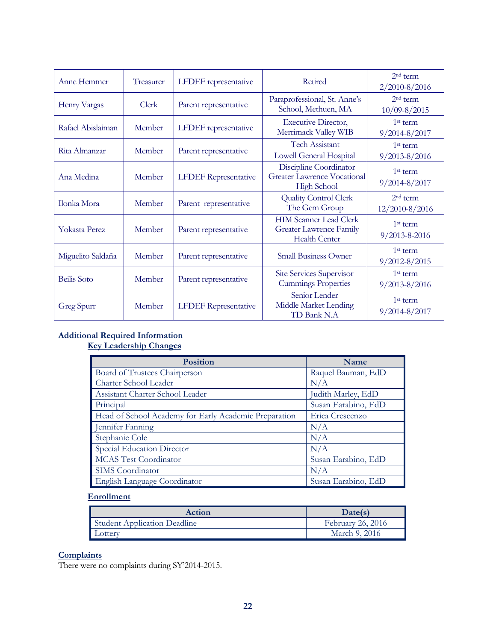| Anne Hemmer        | Treasurer | <b>LFDEF</b> representative | Retired                                                                                 | $2nd$ term<br>$2/2010 - 8/2016$   |
|--------------------|-----------|-----------------------------|-----------------------------------------------------------------------------------------|-----------------------------------|
| Henry Vargas       | Clerk     | Parent representative       | Paraprofessional, St. Anne's<br>School, Methuen, MA                                     | $2nd$ term<br>$10/09 - 8/2015$    |
| Rafael Abislaiman  | Member    | <b>LFDEF</b> representative | <b>Executive Director,</b><br>Merrimack Valley WIB                                      | $1st$ term<br>9/2014-8/2017       |
| Rita Almanzar      | Member    | Parent representative       | <b>Tech Assistant</b><br><b>Lowell General Hospital</b>                                 | $1st$ term<br>$9/2013 - 8/2016$   |
| Ana Medina         | Member    | <b>LFDEF</b> Representative | Discipline Coordinator<br><b>Greater Lawrence Vocational</b><br><b>High School</b>      | $1st$ term<br>$9/2014 - 8/2017$   |
| Ilonka Mora        | Member    | Parent representative       | <b>Quality Control Clerk</b><br>The Gem Group                                           | $2nd$ term<br>$12/2010 - 8/2016$  |
| Yokasta Perez      | Member    | Parent representative       | <b>HIM Scanner Lead Clerk</b><br><b>Greater Lawrence Family</b><br><b>Health Center</b> | $1st$ term<br>$9/2013 - 8 - 2016$ |
| Miguelito Saldaña  | Member    | Parent representative       | <b>Small Business Owner</b>                                                             | $1st$ term<br>$9/2012 - 8/2015$   |
| <b>Beilis</b> Soto | Member    | Parent representative       | <b>Site Services Supervisor</b><br><b>Cummings Properties</b>                           | $1st$ term<br>$9/2013 - 8/2016$   |
| Greg Spurr         | Member    | <b>LFDEF</b> Representative | Senior Lender<br>Middle Market Lending<br>TD Bank N.A                                   | $1st$ term<br>$9/2014 - 8/2017$   |

#### **Additional Required Information Key Leadership Changes**

| <b>Position</b>                                       | Name                |
|-------------------------------------------------------|---------------------|
| Board of Trustees Chairperson                         | Raquel Bauman, EdD  |
| Charter School Leader                                 | N/A                 |
| Assistant Charter School Leader                       | Judith Marley, EdD  |
| Principal                                             | Susan Earabino, EdD |
| Head of School Academy for Early Academic Preparation | Erica Crescenzo     |
| Jennifer Fanning                                      | N/A                 |
| Stephanie Cole                                        | N/A                 |
| Special Education Director                            | N/A                 |
| <b>MCAS</b> Test Coordinator                          | Susan Earabino, EdD |
| SIMS Coordinator                                      | N/A                 |
| English Language Coordinator                          | Susan Earabino, EdD |

#### **Enrollment**

| Action                       | Date(s)           |
|------------------------------|-------------------|
| Student Application Deadline | February 26, 2016 |
| _otterv                      | March 9, 2016     |

#### **Complaints**

There were no complaints during SY'2014-2015.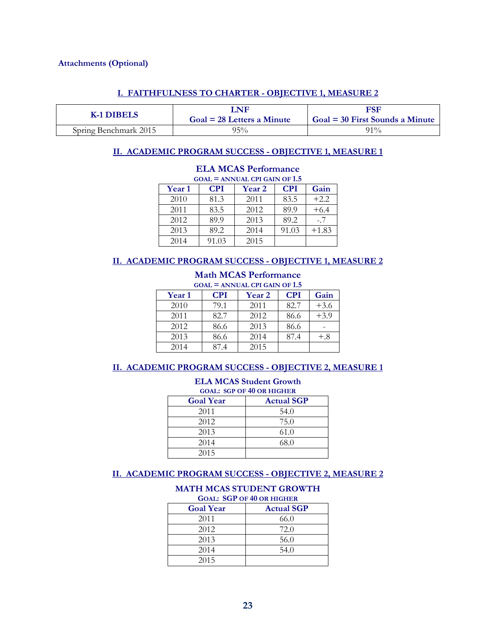#### **Attachments (Optional)**

#### **I. FAITHFULNESS TO CHARTER - OBJECTIVE 1, MEASURE 2**

| K-1 DIBELS            | $\Delta$ NF<br>$Goal = 28$ Letters a Minute | <b>FSF</b><br>$Goal = 30$ First Sounds a Minute |
|-----------------------|---------------------------------------------|-------------------------------------------------|
| Spring Benchmark 2015 | $95\%$                                      | $91\%$                                          |

#### **II. ACADEMIC PROGRAM SUCCESS - OBJECTIVE 1, MEASURE 1**

| $GOAL = ANNUAL$ CPI GAIN OF 1.5 |            |        |            |         |
|---------------------------------|------------|--------|------------|---------|
| Year 1                          | <b>CPI</b> | Year 2 | <b>CPI</b> | Gain    |
| 2010                            | 81.3       | 2011   | 83.5       | $+2.2$  |
| 2011                            | 83.5       | 2012   | 89.9       | $+6.4$  |
| 2012                            | 89.9       | 2013   | 89.2       | $-.7$   |
| 2013                            | 89.2       | 2014   | 91.03      | $+1.83$ |
| 2014                            | 91.03      | 2015   |            |         |

#### **ELA MCAS Performance**

#### **II. ACADEMIC PROGRAM SUCCESS - OBJECTIVE 1, MEASURE 2**

#### **Math MCAS Performance**  $GOM = AMMUM GPL CMPLOF 1.5$

| <b>Year 1</b> | <b>CPI</b> | <b>Year 2</b> | <b>CPI</b> | Gain   |
|---------------|------------|---------------|------------|--------|
| 2010          | 79.1       | 2011          | 82.7       | $+3.6$ |
| 2011          | 82.7       | 2012          | 86.6       | $+3.9$ |
| 2012          | 86.6       | 2013          | 86.6       |        |
| 2013          | 86.6       | 2014          | 87.4       | $+.8$  |
| 2014          | 87.4       | 2015          |            |        |

#### **II. ACADEMIC PROGRAM SUCCESS - OBJECTIVE 2, MEASURE 1**

| <b>ELA MCAS Student Growth</b><br><b>GOAL: SGP OF 40 OR HIGHER</b> |      |  |
|--------------------------------------------------------------------|------|--|
| <b>Actual SGP</b><br><b>Goal Year</b>                              |      |  |
| 2011                                                               | 54.0 |  |
| 2012                                                               | 75.0 |  |
| 2013                                                               | 61.0 |  |
| 2014                                                               | 68.0 |  |
| 2015                                                               |      |  |

#### **II. ACADEMIC PROGRAM SUCCESS - OBJECTIVE 2, MEASURE 2**

#### **MATH MCAS STUDENT GROWTH GOAL: SGP OF 40 OR HIGHER**

| <b>Goal Year</b> | <b>Actual SGP</b> |
|------------------|-------------------|
| 2011             | 66.0              |
| 2012             | 72.0              |
| 2013             | 56.0              |
| 2014             | 54.0              |
| 2015             |                   |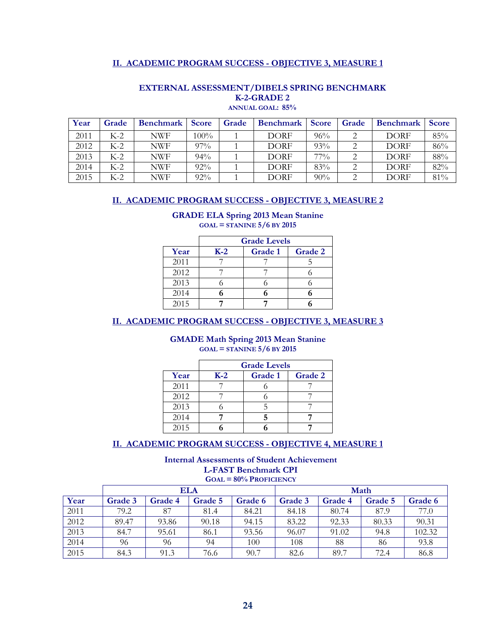#### **II. ACADEMIC PROGRAM SUCCESS - OBJECTIVE 3, MEASURE 1**

| Year | Grade | <b>Benchmark</b> | <b>Score</b> | Grade | <b>Benchmark</b> | <b>Score</b> | Grade | <b>Benchmark</b> | <b>Score</b> |
|------|-------|------------------|--------------|-------|------------------|--------------|-------|------------------|--------------|
| 2011 | $K-2$ | NWF              | 100%         |       | <b>DORF</b>      | 96%          |       | <b>DORF</b>      | 85%          |
| 2012 | K-2   | NWF              | $97\%$       |       | <b>DORF</b>      | 93%          |       | <b>DORF</b>      | 86%          |
| 2013 | $K-2$ | NWF              | 94%          |       | <b>DORF</b>      | $77\%$       |       | <b>DORF</b>      | 88%          |
| 2014 | K-2   | NWF              | 92%          |       | <b>DORF</b>      | 83%          |       | <b>DORF</b>      | 82%          |
| 2015 | K-2   | NWF              | $92\%$       |       | DORF             | 90%          |       | <b>DORF</b>      | 81%          |

#### **EXTERNAL ASSESSMENT/DIBELS SPRING BENCHMARK K-2-GRADE 2 ANNUAL GOAL: 85%**

### **II. ACADEMIC PROGRAM SUCCESS - OBJECTIVE 3, MEASURE 2**

#### **GRADE ELA Spring 2013 Mean Stanine GOAL = STANINE 5/6 BY 2015**

|      | <b>Grade Levels</b> |                |         |  |  |  |  |  |
|------|---------------------|----------------|---------|--|--|--|--|--|
| Year | $K-2$               | <b>Grade 1</b> | Grade 2 |  |  |  |  |  |
| 2011 |                     |                |         |  |  |  |  |  |
| 2012 |                     |                |         |  |  |  |  |  |
| 2013 |                     |                |         |  |  |  |  |  |
| 2014 |                     |                |         |  |  |  |  |  |
| 2015 |                     |                |         |  |  |  |  |  |

#### **II. ACADEMIC PROGRAM SUCCESS - OBJECTIVE 3, MEASURE 3**

#### **GMADE Math Spring 2013 Mean Stanine GOAL = STANINE 5/6 BY 2015**

|      | <b>Grade Levels</b> |         |         |  |  |  |  |
|------|---------------------|---------|---------|--|--|--|--|
| Year | $K-2$               | Grade 1 | Grade 2 |  |  |  |  |
| 2011 |                     |         |         |  |  |  |  |
| 2012 |                     |         |         |  |  |  |  |
| 2013 |                     |         |         |  |  |  |  |
| 2014 |                     |         |         |  |  |  |  |
| 2015 |                     |         |         |  |  |  |  |

#### **II. ACADEMIC PROGRAM SUCCESS - OBJECTIVE 4, MEASURE 1**

#### **Internal Assessments of Student Achievement L-FAST Benchmark CPI**

**GOAL = 80% PROFICIENCY**

|      |         |                | ELA     |         | Math           |         |         |         |
|------|---------|----------------|---------|---------|----------------|---------|---------|---------|
| Year | Grade 3 | <b>Grade 4</b> | Grade 5 | Grade 6 | <b>Grade 3</b> | Grade 4 | Grade 5 | Grade 6 |
| 2011 | 79.2    | 87             | 81.4    | 84.21   | 84.18          | 80.74   | 87.9    | 77.0    |
| 2012 | 89.47   | 93.86          | 90.18   | 94.15   | 83.22          | 92.33   | 80.33   | 90.31   |
| 2013 | 84.7    | 95.61          | 86.1    | 93.56   | 96.07          | 91.02   | 94.8    | 102.32  |
| 2014 | 96      | 96             | 94      | 100     | 108            | 88      | 86      | 93.8    |
| 2015 | 84.3    | 91.3           | 76.6    | 90.7    | 82.6           | 89.7    | 72.4    | 86.8    |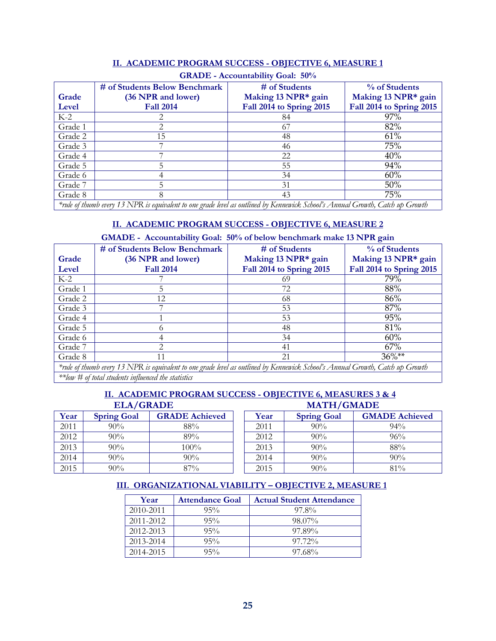|         | <b>GRADE - Accountability Goal: 50%</b>                                                                                       |                          |                          |  |  |  |  |
|---------|-------------------------------------------------------------------------------------------------------------------------------|--------------------------|--------------------------|--|--|--|--|
|         | # of Students Below Benchmark                                                                                                 | # of Students            | % of Students            |  |  |  |  |
| Grade   | (36 NPR and lower)                                                                                                            | Making 13 NPR* gain      | Making 13 NPR* gain      |  |  |  |  |
| Level   | <b>Fall 2014</b>                                                                                                              | Fall 2014 to Spring 2015 | Fall 2014 to Spring 2015 |  |  |  |  |
| $K-2$   |                                                                                                                               | 84                       | 97%                      |  |  |  |  |
| Grade 1 |                                                                                                                               | 67                       | 82%                      |  |  |  |  |
| Grade 2 | 15                                                                                                                            | 48                       | 61%                      |  |  |  |  |
| Grade 3 |                                                                                                                               | 46                       | 75%                      |  |  |  |  |
| Grade 4 |                                                                                                                               | 22                       | 40%                      |  |  |  |  |
| Grade 5 | 5                                                                                                                             | 55                       | 94%                      |  |  |  |  |
| Grade 6 |                                                                                                                               | 34                       | 60%                      |  |  |  |  |
| Grade 7 |                                                                                                                               | 31                       | $50\%$                   |  |  |  |  |
| Grade 8 | 8                                                                                                                             | 43                       | 75%                      |  |  |  |  |
|         | *rule of thumb every 13 NPR is equivalent to one grade level as outlined by Kennewick School's Annual Growth, Catch up Growth |                          |                          |  |  |  |  |

#### **II. ACADEMIC PROGRAM SUCCESS - OBJECTIVE 6, MEASURE 1**

*\*rule of thumb every 13 NPR is equivalent to one grade level as outlined by Kennewick School's Annual Growth, Catch up Growth*

#### **II. ACADEMIC PROGRAM SUCCESS - OBJECTIVE 6, MEASURE 2**

#### **GMADE - Accountability Goal: 50% of below benchmark make 13 NPR gain**

|         | # of Students Below Benchmark                                                                                                                                   | # of Students            | % of Students            |  |
|---------|-----------------------------------------------------------------------------------------------------------------------------------------------------------------|--------------------------|--------------------------|--|
| Grade   | (36 NPR and lower)                                                                                                                                              | Making 13 NPR* gain      | Making 13 NPR* gain      |  |
| Level   | <b>Fall 2014</b>                                                                                                                                                | Fall 2014 to Spring 2015 | Fall 2014 to Spring 2015 |  |
| $K-2$   |                                                                                                                                                                 | 69                       | 79%                      |  |
| Grade 1 |                                                                                                                                                                 | 72                       | 88%                      |  |
| Grade 2 | 12                                                                                                                                                              | 68                       | 86%                      |  |
| Grade 3 |                                                                                                                                                                 | 53                       | 87%                      |  |
| Grade 4 |                                                                                                                                                                 | 53                       | 95%                      |  |
| Grade 5 | $\Omega$                                                                                                                                                        | 48                       | 81%                      |  |
| Grade 6 |                                                                                                                                                                 | 34                       | 60%                      |  |
| Grade 7 | $\mathcal{D}_{\mathcal{A}}^{\mathcal{A}}(\mathcal{A})=\mathcal{D}_{\mathcal{A}}^{\mathcal{A}}(\mathcal{A})\mathcal{D}_{\mathcal{A}}^{\mathcal{A}}(\mathcal{A})$ | 41                       | 67%                      |  |
| Grade 8 | 11                                                                                                                                                              | 21                       | $36\%**$                 |  |
|         | *rule of thumb every 13 NPR is equivalent to one grade level as outlined by Kennewick School's Annual Growth, Catch up Growth                                   |                          |                          |  |

*\*\*low # of total students influenced the statistics*

#### **II. ACADEMIC PROGRAM SUCCESS - OBJECTIVE 6, MEASURES 3 & 4 ELA/GRADE MATH/GMADE**

| Year | <b>Spring Goal</b> | <b>GRADE Achieved</b> | Year | <b>Spring Goal</b> | <b>GMADE Achieved</b> |
|------|--------------------|-----------------------|------|--------------------|-----------------------|
| 2011 | 90%                | 88%                   | 2011 | 90%                | $94\%$                |
| 2012 | 90%                | 89%                   | 2012 | 90%                | 96%                   |
| 2013 | 90%                | 100%                  | 2013 | 90%                | 88%                   |
| 2014 | 90%                | 90%                   | 2014 | 90%                | 90%                   |
| 2015 | 90%                | 87%                   | 2015 | 90%                | 81%                   |

#### **III. ORGANIZATIONAL VIABILITY – OBJECTIVE 2, MEASURE 1**

| Year      | <b>Attendance Goal</b> | <b>Actual Student Attendance</b> |
|-----------|------------------------|----------------------------------|
| 2010-2011 | $95\%$                 | 97.8%                            |
| 2011-2012 | 95%                    | 98.07%                           |
| 2012-2013 | $95\%$                 | 97.89%                           |
| 2013-2014 | $95\%$                 | $97.72\%$                        |
| 2014-2015 | $95\%$                 | 97.68%                           |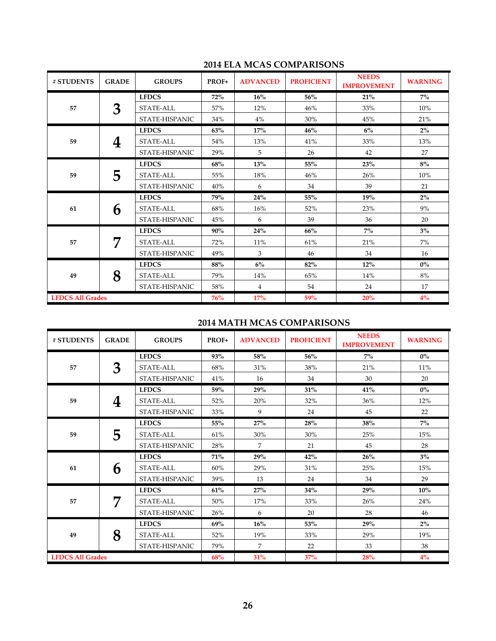| # STUDENTS              | <b>GRADE</b> | <b>GROUPS</b>    | PROF+      | <b>ADVANCED</b> | <b>PROFICIENT</b> | <b>NEEDS</b><br><b>IMPROVEMENT</b> | <b>WARNING</b> |
|-------------------------|--------------|------------------|------------|-----------------|-------------------|------------------------------------|----------------|
| 57                      |              | <b>LFDCS</b>     | 72%        | 16%             | 56%               | 21%                                | $7\%$          |
|                         | 3            | <b>STATE-ALL</b> | 57%        | 12%             | 46%               | 33%                                | 10%            |
|                         |              | STATE-HISPANIC   | 34%        | $4\%$           | 30%               | 45%                                | 21%            |
|                         |              | <b>LFDCS</b>     | 63%        | 17%             | 46%               | $6\%$                              | $2\%$          |
| 59                      | 4            | STATE-ALL        | 54%        | 13%             | 41%               | 33%                                | 13%            |
|                         |              | STATE-HISPANIC   | 29%        | 5               | 26                | 42                                 | 27             |
|                         |              | <b>LFDCS</b>     | 68%        | <b>13%</b>      | 55%               | 23%                                | $8\%$          |
| 59                      | 5            | STATE-ALL        | 55%        | 18%             | 46%               | 26%                                | 10%            |
|                         |              | STATE-HISPANIC   | 40%        | 6               | 34                | 39                                 | 21             |
|                         | 6            | <b>LFDCS</b>     | 79%        | 24%             | 55%               | 19%                                | $2\%$          |
| 61                      |              | STATE-ALL        | 68%        | 16%             | 52%               | 23%                                | 9%             |
|                         |              | STATE-HISPANIC   | 45%        | 6               | 39                | 36                                 | 20             |
|                         |              | <b>LFDCS</b>     | 90%        | 24%             | 66%               | $7\%$                              | $3\%$          |
| 57                      | 7            | <b>STATE-ALL</b> | 72%        | 11%             | 61%               | 21%                                | 7%             |
|                         |              | STATE-HISPANIC   | 49%        | 3               | 46                | 34                                 | 16             |
|                         |              | <b>LFDCS</b>     | 88%        | $6\%$           | 82%               | 12%                                | $0\%$          |
| 49                      | 8            | STATE-ALL        | 79%        | 14%             | 65%               | 14%                                | 8%             |
|                         |              | STATE-HISPANIC   | 58%        | $\overline{4}$  | 54                | 24                                 | 17             |
| <b>LFDCS All Grades</b> |              |                  | <b>76%</b> | 17%             | 59%               | 20%                                | $4\%$          |

#### **2014 ELA MCAS COMPARISONS**

#### **2014 MATH MCAS COMPARISONS**

| # STUDENTS              | <b>GRADE</b> | <b>GROUPS</b>  | PROF+      | <b>ADVANCED</b> | <b>PROFICIENT</b> | <b>NEEDS</b><br><b>IMPROVEMENT</b> | <b>WARNING</b> |
|-------------------------|--------------|----------------|------------|-----------------|-------------------|------------------------------------|----------------|
| 57                      |              | <b>LFDCS</b>   | <b>93%</b> | 58%             | 56%               | $7\%$                              | $0\%$          |
|                         | 3            | STATE-ALL      | 68%        | 31%             | 38%               | 21%                                | 11%            |
|                         |              | STATE-HISPANIC | 41%        | 16              | 34                | 30                                 | 20             |
|                         |              | <b>LFDCS</b>   | 59%        | 29%             | 31%               | 41%                                | $0\%$          |
| 59                      | 4            | STATE-ALL      | 52%        | 20%             | 32%               | 36%                                | 12%            |
|                         |              | STATE-HISPANIC | 33%        | 9               | 24                | 45                                 | 22             |
|                         |              | <b>LFDCS</b>   | 55%        | 27%             | 28%               | 38%                                | $7\%$          |
| 59                      | 5            | STATE-ALL      | 61%        | 30%             | 30%               | 25%                                | 15%            |
|                         |              | STATE-HISPANIC | 28%        | 7               | 21                | 45                                 | 28             |
|                         | 6            | <b>LFDCS</b>   | 71%        | 29%             | 42%               | 26%                                | $3\%$          |
| 61                      |              | STATE-ALL      | 60%        | 29%             | 31%               | 25%                                | 15%            |
|                         |              | STATE-HISPANIC | 39%        | 13              | 24                | 34                                 | 29             |
|                         | 7            | <b>LFDCS</b>   | 61%        | 27%             | 34%               | 29%                                | 10%            |
| 57                      |              | STATE-ALL      | 50%        | 17%             | 33%               | 26%                                | 24%            |
|                         |              | STATE-HISPANIC | 26%        | 6               | 20                | 28                                 | 46             |
|                         |              | <b>LFDCS</b>   | 69%        | 16%             | 53%               | 29%                                | $2\%$          |
| 49                      | 8            | STATE-ALL      | 52%        | 19%             | 33%               | 29%                                | 19%            |
|                         |              | STATE-HISPANIC | 79%        | 7               | 22                | 33                                 | 38             |
| <b>LFDCS All Grades</b> |              |                | 68%        | 31%             | 37%               | <b>28%</b>                         | 4%             |